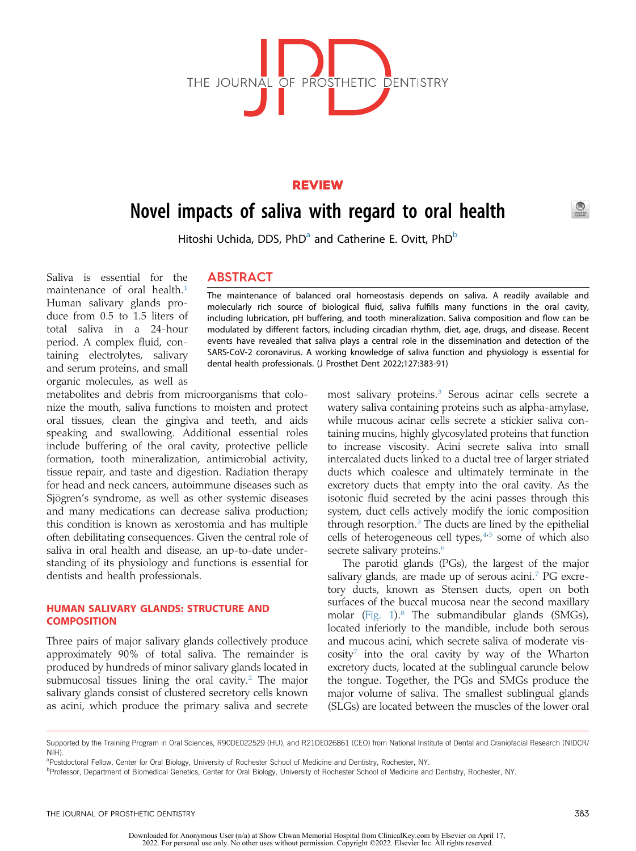

## REVIEW

# Novel impacts of saliva with regard to oral health

Hitoshi Uchid[a](#page-0-0), DDS,  $PhD^a$  and Catherine E. Ovitt,  $PhD^b$ 

Saliva is essential for the maintenance of oral health.<sup>[1](#page-5-0)</sup> Human salivary glands produce from 0.5 to 1.5 liters of total saliva in a 24-hour period. A complex fluid, containing electrolytes, salivary and serum proteins, and small organic molecules, as well as

metabolites and debris from microorganisms that colonize the mouth, saliva functions to moisten and protect oral tissues, clean the gingiva and teeth, and aids speaking and swallowing. Additional essential roles include buffering of the oral cavity, protective pellicle formation, tooth mineralization, antimicrobial activity, tissue repair, and taste and digestion. Radiation therapy for head and neck cancers, autoimmune diseases such as Sjögren's syndrome, as well as other systemic diseases and many medications can decrease saliva production; this condition is known as xerostomia and has multiple often debilitating consequences. Given the central role of saliva in oral health and disease, an up-to-date understanding of its physiology and functions is essential for dentists and health professionals.

## HUMAN SALIVARY GLANDS: STRUCTURE AND **COMPOSITION**

Three pairs of major salivary glands collectively produce approximately 90% of total saliva. The remainder is produced by hundreds of minor salivary glands located in submucosal tissues lining the oral cavity. $2$  The major salivary glands consist of clustered secretory cells known as acini, which produce the primary saliva and secrete

# ABSTRACT

The maintenance of balanced oral homeostasis depends on saliva. A readily available and molecularly rich source of biological fluid, saliva fulfills many functions in the oral cavity, including lubrication, pH buffering, and tooth mineralization. Saliva composition and flow can be modulated by different factors, including circadian rhythm, diet, age, drugs, and disease. Recent events have revealed that saliva plays a central role in the dissemination and detection of the SARS-CoV-2 coronavirus. A working knowledge of saliva function and physiology is essential for dental health professionals. (J Prosthet Dent 2022;127:383-91)

> most salivary proteins.[3](#page-5-2) Serous acinar cells secrete a watery saliva containing proteins such as alpha-amylase, while mucous acinar cells secrete a stickier saliva containing mucins, highly glycosylated proteins that function to increase viscosity. Acini secrete saliva into small intercalated ducts linked to a ductal tree of larger striated ducts which coalesce and ultimately terminate in the excretory ducts that empty into the oral cavity. As the isotonic fluid secreted by the acini passes through this system, duct cells actively modify the ionic composition through resorption. $3$  The ducts are lined by the epithelial cells of heterogeneous cell types, $4.5$  $4.5$  some of which also secrete salivary proteins.<sup>[6](#page-5-5)</sup>

> The parotid glands (PGs), the largest of the major salivary glands, are made up of serous acini.<sup>[7](#page-5-6)</sup> PG excretory ducts, known as Stensen ducts, open on both surfaces of the buccal mucosa near the second maxillary molar ([Fig. 1\)](#page-1-0).[8](#page-5-7) The submandibular glands (SMGs), located inferiorly to the mandible, include both serous and mucous acini, which secrete saliva of moderate vis- $\cos$ ity<sup>[7](#page-5-6)</sup> into the oral cavity by way of the Wharton excretory ducts, located at the sublingual caruncle below the tongue. Together, the PGs and SMGs produce the major volume of saliva. The smallest sublingual glands (SLGs) are located between the muscles of the lower oral

Supported by the Training Program in Oral Sciences, R90DE022529 (HU), and R21DE026861 (CEO) from National Institute of Dental and Craniofacial Research (NIDCR/ NIH).

<span id="page-0-0"></span>aPostdoctoral Fellow, Center for Oral Biology, University of Rochester School of Medicine and Dentistry, Rochester, NY.

<span id="page-0-1"></span>**PProfessor, Department of Biomedical Genetics, Center for Oral Biology, University of Rochester School of Medicine and Dentistry, Rochester, NY.**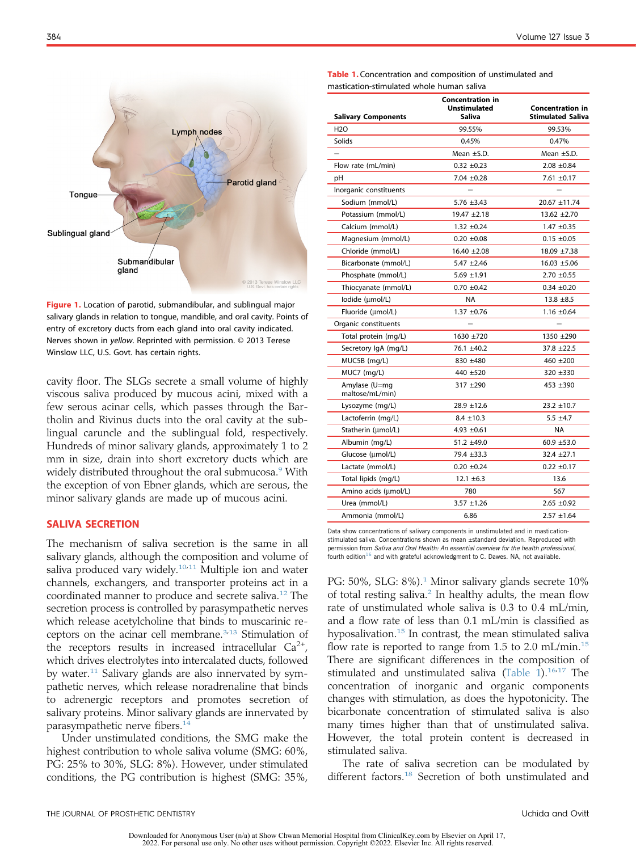<span id="page-1-0"></span>

Figure 1. Location of parotid, submandibular, and sublingual major salivary glands in relation to tongue, mandible, and oral cavity. Points of entry of excretory ducts from each gland into oral cavity indicated. Nerves shown in yellow. Reprinted with permission. © 2013 Terese Winslow LLC, U.S. Govt. has certain rights.

cavity floor. The SLGs secrete a small volume of highly viscous saliva produced by mucous acini, mixed with a few serous acinar cells, which passes through the Bartholin and Rivinus ducts into the oral cavity at the sublingual caruncle and the sublingual fold, respectively. Hundreds of minor salivary glands, approximately 1 to 2 mm in size, drain into short excretory ducts which are widely distributed throughout the oral submucosa.<sup>[9](#page-5-8)</sup> With the exception of von Ebner glands, which are serous, the minor salivary glands are made up of mucous acini.

#### SALIVA SECRETION

The mechanism of saliva secretion is the same in all salivary glands, although the composition and volume of saliva produced vary widely.<sup>[10,](#page-5-9)[11](#page-5-10)</sup> Multiple ion and water channels, exchangers, and transporter proteins act in a coordinated manner to produce and secrete saliva.<sup>[12](#page-5-11)</sup> The secretion process is controlled by parasympathetic nerves which release acetylcholine that binds to muscarinic re-ceptors on the acinar cell membrane.<sup>[3,](#page-5-2)[13](#page-6-0)</sup> Stimulation of the receptors results in increased intracellular  $Ca^{2+}$ , which drives electrolytes into intercalated ducts, followed by water.[11](#page-5-10) Salivary glands are also innervated by sympathetic nerves, which release noradrenaline that binds to adrenergic receptors and promotes secretion of salivary proteins. Minor salivary glands are innervated by parasympathetic nerve fibers.<sup>[14](#page-6-1)</sup>

Under unstimulated conditions, the SMG make the highest contribution to whole saliva volume (SMG: 60%, PG: 25% to 30%, SLG: 8%). However, under stimulated conditions, the PG contribution is highest (SMG: 35%,

<span id="page-1-1"></span>

| Table 1. Concentration and composition of unstimulated and |  |  |  |
|------------------------------------------------------------|--|--|--|
| mastication-stimulated whole human saliva                  |  |  |  |

| <b>Salivary Components</b>       | <b>Concentration in</b><br>Unstimulated<br>Saliva | <b>Concentration in</b><br><b>Stimulated Saliva</b> |
|----------------------------------|---------------------------------------------------|-----------------------------------------------------|
| H2O                              | 99.55%                                            | 99.53%                                              |
| Solids                           | 0.45%                                             | 0.47%                                               |
|                                  | Mean $\pm$ S.D.                                   | Mean $\pm$ S.D.                                     |
| Flow rate (mL/min)               | $0.32 + 0.23$                                     | $2.08 + 0.84$                                       |
| рH                               | $7.04 \pm 0.28$                                   | $7.61 + 0.17$                                       |
| Inorganic constituents           |                                                   |                                                     |
| Sodium (mmol/L)                  | $5.76 \pm 3.43$                                   | 20.67 ±11.74                                        |
| Potassium (mmol/L)               | $19.47 \pm 2.18$                                  | $13.62 + 2.70$                                      |
| Calcium (mmol/L)                 | $1.32 \pm 0.24$                                   | $1.47 \pm 0.35$                                     |
| Magnesium (mmol/L)               | $0.20 \pm 0.08$                                   | $0.15 \pm 0.05$                                     |
| Chloride (mmol/L)                | $16.40 \pm 2.08$                                  | $18.09 + 7.38$                                      |
| Bicarbonate (mmol/L)             | $5.47 + 2.46$                                     | $16.03 + 5.06$                                      |
| Phosphate (mmol/L)               | $5.69 + 1.91$                                     | $2.70 + 0.55$                                       |
| Thiocyanate (mmol/L)             | $0.70 \pm 0.42$                                   | $0.34 + 0.20$                                       |
| lodide (µmol/L)                  | NA                                                | $13.8 + 8.5$                                        |
| Fluoride (µmol/L)                | $1.37 + 0.76$                                     | $1.16 \pm 0.64$                                     |
| Organic constituents             |                                                   |                                                     |
| Total protein (mg/L)             | 1630 ±720                                         | 1350 ±290                                           |
| Secretory IgA (mg/L)             | 76.1 ±40.2                                        | $37.8 + 22.5$                                       |
| MUC5B (mg/L)                     | 830 ±480                                          | $460 + 200$                                         |
| MUC7 (mg/L)                      | 440 ±520                                          | 320 ±330                                            |
| Amylase (U=mg<br>maltose/mL/min) | $317 + 290$                                       | $453 + 390$                                         |
| Lysozyme (mg/L)                  | $28.9 + 12.6$                                     | $23.2 + 10.7$                                       |
| Lactoferrin (mg/L)               | $8.4 + 10.3$                                      | $5.5 + 4.7$                                         |
| Statherin (µmol/L)               | 4.93 $\pm 0.61$                                   | NA                                                  |
| Albumin (mg/L)                   | 51.2 ±49.0                                        | $60.9 + 53.0$                                       |
| Glucose (µmol/L)                 | 79.4 ±33.3                                        | $32.4 + 27.1$                                       |
| Lactate (mmol/L)                 | $0.20 + 0.24$                                     | $0.22 \pm 0.17$                                     |
| Total lipids (mg/L)              | $12.1 \pm 6.3$                                    | 13.6                                                |
| Amino acids (µmol/L)             | 780                                               | 567                                                 |
| Urea (mmol/L)                    | $3.57 + 1.26$                                     | $2.65 + 0.92$                                       |
| Ammonia (mmol/L)                 | 6.86                                              | $2.57 + 1.64$                                       |
|                                  |                                                   |                                                     |

Data show concentrations of salivary components in unstimulated and in masticationstimulated saliva. Concentrations shown as mean ±standard deviation. Reproduced with permission from Saliva and Oral Health: An essential overview for the health professional, fourth edition<sup>[16](#page-6-3)</sup> and with grateful acknowledgment to C. Dawes. NA, not available.

PG: 50%, SLG: 8%).<sup>[1](#page-5-0)</sup> Minor salivary glands secrete 10% of total resting saliva.<sup>2</sup> In healthy adults, the mean flow rate of unstimulated whole saliva is 0.3 to 0.4 mL/min, and a flow rate of less than 0.1 mL/min is classified as hyposalivation.<sup>[15](#page-6-2)</sup> In contrast, the mean stimulated saliva flow rate is reported to range from 1.5 to 2.0 mL/min.<sup>[15](#page-6-2)</sup> There are significant differences in the composition of stimulated and unstimulated saliva ([Table 1](#page-1-1)).<sup>[16](#page-6-3)[,17](#page-6-4)</sup> The concentration of inorganic and organic components changes with stimulation, as does the hypotonicity. The bicarbonate concentration of stimulated saliva is also many times higher than that of unstimulated saliva. However, the total protein content is decreased in stimulated saliva.

The rate of saliva secretion can be modulated by different factors.<sup>[18](#page-6-5)</sup> Secretion of both unstimulated and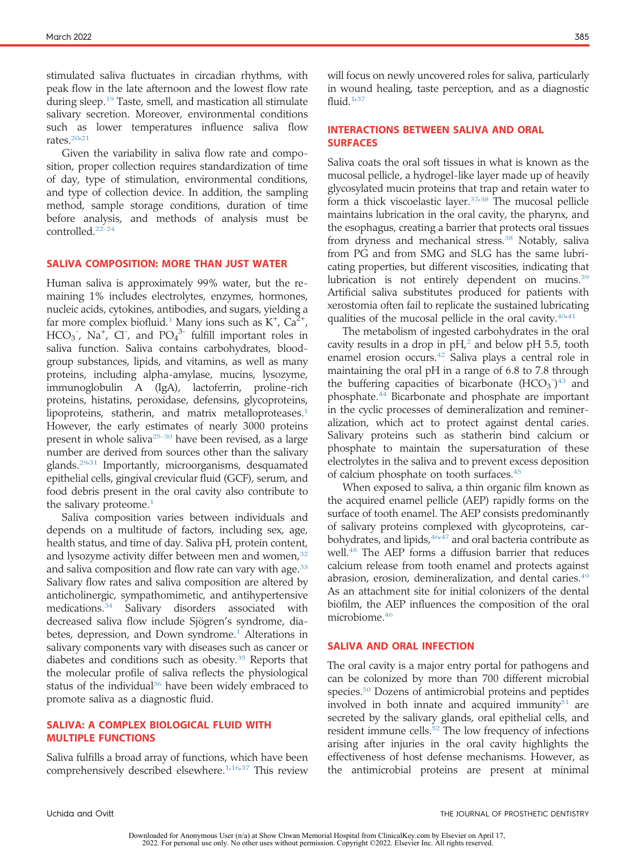stimulated saliva fluctuates in circadian rhythms, with peak flow in the late afternoon and the lowest flow rate during sleep.[19](#page-6-6) Taste, smell, and mastication all stimulate salivary secretion. Moreover, environmental conditions such as lower temperatures influence saliva flow rates.<sup>[20,](#page-6-7)[21](#page-6-8)</sup>

Given the variability in saliva flow rate and composition, proper collection requires standardization of time of day, type of stimulation, environmental conditions, and type of collection device. In addition, the sampling method, sample storage conditions, duration of time before analysis, and methods of analysis must be controlled.[22-24](#page-6-9)

#### SALIVA COMPOSITION: MORE THAN JUST WATER

Human saliva is approximately 99% water, but the remaining 1% includes electrolytes, enzymes, hormones, nucleic acids, cytokines, antibodies, and sugars, yielding a far more complex biofluid.<sup>[1](#page-5-0)</sup> Many ions such as  $K^+$ ,  $Ca^{2+}$ ,  $HCO_3$ , Na<sup>+</sup>, Cl<sup>-</sup>, and  $PO_4^{3-}$  fulfill important roles in saliva function. Saliva contains carbohydrates, bloodgroup substances, lipids, and vitamins, as well as many proteins, including alpha-amylase, mucins, lysozyme, immunoglobulin A (IgA), lactoferrin, proline-rich proteins, histatins, peroxidase, defensins, glycoproteins, lipoproteins, statherin, and matrix metalloproteases.<sup>[1](#page-5-0)</sup> However, the early estimates of nearly 3000 proteins present in whole saliva<sup>25-30</sup> have been revised, as a large number are derived from sources other than the salivary glands.[29](#page-6-11)[,31](#page-6-12) Importantly, microorganisms, desquamated epithelial cells, gingival crevicular fluid (GCF), serum, and food debris present in the oral cavity also contribute to the salivary proteome.<sup>[1](#page-5-0)</sup>

Saliva composition varies between individuals and depends on a multitude of factors, including sex, age, health status, and time of day. Saliva pH, protein content, and lysozyme activity differ between men and women, $32$ and saliva composition and flow rate can vary with age.<sup>[33](#page-6-14)</sup> Salivary flow rates and saliva composition are altered by anticholinergic, sympathomimetic, and antihypertensive medications.[34](#page-6-15) Salivary disorders associated with decreased saliva flow include Sjögren's syndrome, dia-betes, depression, and Down syndrome.<sup>[1](#page-5-0)</sup> Alterations in salivary components vary with diseases such as cancer or diabetes and conditions such as obesity. $35$  Reports that the molecular profile of saliva reflects the physiological status of the individual $36$  have been widely embraced to promote saliva as a diagnostic fluid.

## SALIVA: A COMPLEX BIOLOGICAL FLUID WITH MULTIPLE FUNCTIONS

Saliva fulfills a broad array of functions, which have been comprehensively described elsewhere.<sup>1,[16](#page-6-3)[,37](#page-6-18)</sup> This review

will focus on newly uncovered roles for saliva, particularly in wound healing, taste perception, and as a diagnostic fluid. $1,37$  $1,37$ 

#### INTERACTIONS BETWEEN SALIVA AND ORAL SURFACES

Saliva coats the oral soft tissues in what is known as the mucosal pellicle, a hydrogel-like layer made up of heavily glycosylated mucin proteins that trap and retain water to form a thick viscoelastic layer.<sup>[37](#page-6-18)[,38](#page-6-19)</sup> The mucosal pellicle maintains lubrication in the oral cavity, the pharynx, and the esophagus, creating a barrier that protects oral tissues from dryness and mechanical stress.<sup>[38](#page-6-19)</sup> Notably, saliva from PG and from SMG and SLG has the same lubricating properties, but different viscosities, indicating that lubrication is not entirely dependent on mucins.<sup>[39](#page-6-20)</sup> Artificial saliva substitutes produced for patients with xerostomia often fail to replicate the sustained lubricating qualities of the mucosal pellicle in the oral cavity.<sup>[40](#page-6-21)[,41](#page-6-22)</sup>

The metabolism of ingested carbohydrates in the oral cavity results in a drop in  $pH<sub>2</sub>$  $pH<sub>2</sub>$  $pH<sub>2</sub>$  and below  $pH$  5.5, tooth enamel erosion occurs.<sup>[42](#page-6-23)</sup> Saliva plays a central role in maintaining the oral pH in a range of 6.8 to 7.8 through the buffering capacities of bicarbonate  $(HCO<sub>3</sub>)<sup>43</sup>$  $(HCO<sub>3</sub>)<sup>43</sup>$  $(HCO<sub>3</sub>)<sup>43</sup>$  and phosphate.[44](#page-6-25) Bicarbonate and phosphate are important in the cyclic processes of demineralization and remineralization, which act to protect against dental caries. Salivary proteins such as statherin bind calcium or phosphate to maintain the supersaturation of these electrolytes in the saliva and to prevent excess deposition of calcium phosphate on tooth surfaces.<sup>45</sup>

When exposed to saliva, a thin organic film known as the acquired enamel pellicle (AEP) rapidly forms on the surface of tooth enamel. The AEP consists predominantly of salivary proteins complexed with glycoproteins, car-bohydrates, and lipids, <sup>[46,](#page-6-27)[47](#page-6-28)</sup> and oral bacteria contribute as well.[48](#page-6-29) The AEP forms a diffusion barrier that reduces calcium release from tooth enamel and protects against abrasion, erosion, demineralization, and dental caries.[49](#page-6-30) As an attachment site for initial colonizers of the dental biofilm, the AEP influences the composition of the oral microbiome.[46](#page-6-27)

#### SALIVA AND ORAL INFECTION

The oral cavity is a major entry portal for pathogens and can be colonized by more than 700 different microbial species.[50](#page-6-31) Dozens of antimicrobial proteins and peptides involved in both innate and acquired immunity $51$  are secreted by the salivary glands, oral epithelial cells, and resident immune cells.<sup>[52](#page-6-33)</sup> The low frequency of infections arising after injuries in the oral cavity highlights the effectiveness of host defense mechanisms. However, as the antimicrobial proteins are present at minimal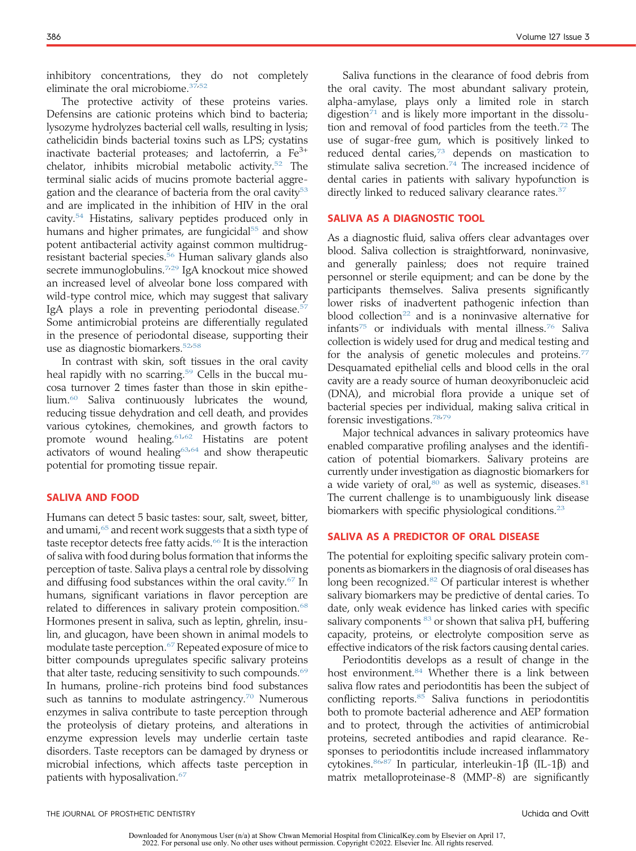inhibitory concentrations, they do not completely eliminate the oral microbiome.[37,](#page-6-18)[52](#page-6-33)

The protective activity of these proteins varies. Defensins are cationic proteins which bind to bacteria; lysozyme hydrolyzes bacterial cell walls, resulting in lysis; cathelicidin binds bacterial toxins such as LPS; cystatins inactivate bacterial proteases; and lactoferrin, a  $Fe<sup>3+</sup>$ chelator, inhibits microbial metabolic activity.[52](#page-6-33) The terminal sialic acids of mucins promote bacterial aggre-gation and the clearance of bacteria from the oral cavity<sup>[53](#page-6-34)</sup> and are implicated in the inhibition of HIV in the oral cavity.[54](#page-6-35) Histatins, salivary peptides produced only in humans and higher primates, are fungicidal<sup>[55](#page-6-36)</sup> and show potent antibacterial activity against common multidrugresistant bacterial species.[56](#page-6-37) Human salivary glands also secrete immunoglobulins.<sup>[7](#page-5-6)[,29](#page-6-11)</sup> IgA knockout mice showed an increased level of alveolar bone loss compared with wild-type control mice, which may suggest that salivary IgA plays a role in preventing periodontal disease.<sup>[57](#page-6-38)</sup> Some antimicrobial proteins are differentially regulated in the presence of periodontal disease, supporting their use as diagnostic biomarkers.[52,](#page-6-33)[58](#page-6-39)

In contrast with skin, soft tissues in the oral cavity heal rapidly with no scarring.<sup>[59](#page-6-40)</sup> Cells in the buccal mucosa turnover 2 times faster than those in skin epithelium.[60](#page-6-41) Saliva continuously lubricates the wound, reducing tissue dehydration and cell death, and provides various cytokines, chemokines, and growth factors to promote wound healing.<sup>[61,](#page-6-42)[62](#page-6-43)</sup> Histatins are potent activators of wound healing $63,64$  $63,64$  and show therapeutic potential for promoting tissue repair.

## SALIVA AND FOOD

Humans can detect 5 basic tastes: sour, salt, sweet, bitter, and umami, $65$  and recent work suggests that a sixth type of taste receptor detects free fatty acids.<sup>[66](#page-6-47)</sup> It is the interaction of saliva with food during bolus formation that informs the perception of taste. Saliva plays a central role by dissolving and diffusing food substances within the oral cavity.[67](#page-6-48) In humans, significant variations in flavor perception are related to differences in salivary protein composition.<sup>[68](#page-6-49)</sup> Hormones present in saliva, such as leptin, ghrelin, insulin, and glucagon, have been shown in animal models to modulate taste perception.<sup>[67](#page-6-48)</sup> Repeated exposure of mice to bitter compounds upregulates specific salivary proteins that alter taste, reducing sensitivity to such compounds.<sup>[69](#page-6-50)</sup> In humans, proline-rich proteins bind food substances such as tannins to modulate astringency. $70$  Numerous enzymes in saliva contribute to taste perception through the proteolysis of dietary proteins, and alterations in enzyme expression levels may underlie certain taste disorders. Taste receptors can be damaged by dryness or microbial infections, which affects taste perception in patients with hyposalivation[.67](#page-6-48)

Saliva functions in the clearance of food debris from the oral cavity. The most abundant salivary protein, alpha-amylase, plays only a limited role in starch digestion $71$  and is likely more important in the dissolu-tion and removal of food particles from the teeth.<sup>[72](#page-6-53)</sup> The use of sugar-free gum, which is positively linked to reduced dental caries, $73$  depends on mastication to stimulate saliva secretion.<sup>[74](#page-7-1)</sup> The increased incidence of dental caries in patients with salivary hypofunction is directly linked to reduced salivary clearance rates.<sup>[37](#page-6-18)</sup>

#### SALIVA AS A DIAGNOSTIC TOOL

As a diagnostic fluid, saliva offers clear advantages over blood. Saliva collection is straightforward, noninvasive, and generally painless; does not require trained personnel or sterile equipment; and can be done by the participants themselves. Saliva presents significantly lower risks of inadvertent pathogenic infection than blood collection<sup>[22](#page-6-9)</sup> and is a noninvasive alternative for infants<sup>[75](#page-7-2)</sup> or individuals with mental illness.<sup>[76](#page-7-3)</sup> Saliva collection is widely used for drug and medical testing and for the analysis of genetic molecules and proteins.<sup>[77](#page-7-4)</sup> Desquamated epithelial cells and blood cells in the oral cavity are a ready source of human deoxyribonucleic acid (DNA), and microbial flora provide a unique set of bacterial species per individual, making saliva critical in forensic investigations.[78,](#page-7-5)[79](#page-7-6)

Major technical advances in salivary proteomics have enabled comparative profiling analyses and the identification of potential biomarkers. Salivary proteins are currently under investigation as diagnostic biomarkers for a wide variety of oral, $80$  as well as systemic, diseases. $81$ The current challenge is to unambiguously link disease biomarkers with specific physiological conditions.<sup>[23](#page-6-54)</sup>

## SALIVA AS A PREDICTOR OF ORAL DISEASE

The potential for exploiting specific salivary protein components as biomarkers in the diagnosis of oral diseases has long been recognized.[82](#page-7-9) Of particular interest is whether salivary biomarkers may be predictive of dental caries. To date, only weak evidence has linked caries with specific salivary components  $83$  or shown that saliva pH, buffering capacity, proteins, or electrolyte composition serve as effective indicators of the risk factors causing dental caries.

Periodontitis develops as a result of change in the host environment.<sup>[84](#page-7-11)</sup> Whether there is a link between saliva flow rates and periodontitis has been the subject of conflicting reports.<sup>[85](#page-7-12)</sup> Saliva functions in periodontitis both to promote bacterial adherence and AEP formation and to protect, through the activities of antimicrobial proteins, secreted antibodies and rapid clearance. Responses to periodontitis include increased inflammatory cytokines.  $86,87$  $86,87$  In particular, interleukin-1 $\beta$  (IL-1 $\beta$ ) and matrix metalloproteinase-8 (MMP-8) are significantly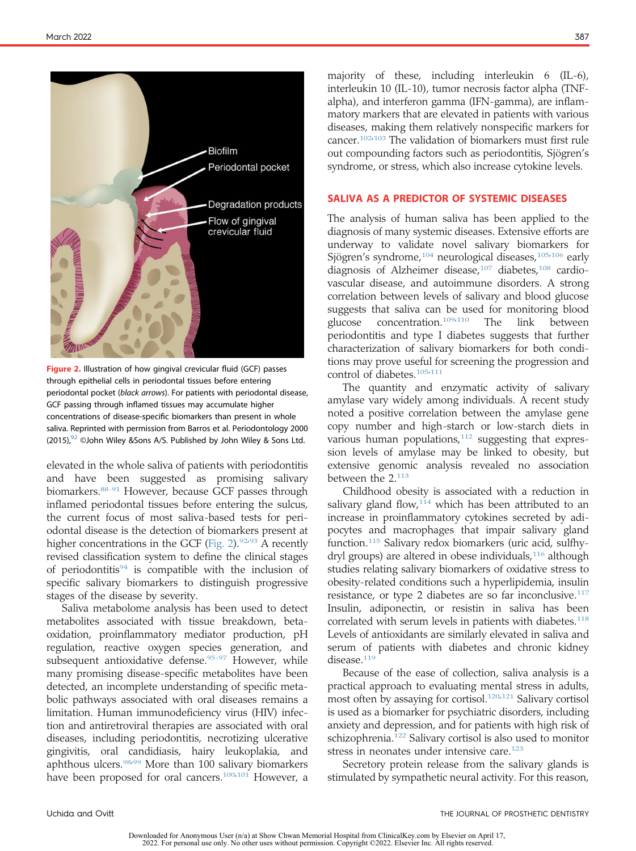<span id="page-4-0"></span>

Figure 2. Illustration of how gingival crevicular fluid (GCF) passes through epithelial cells in periodontal tissues before entering periodontal pocket (black arrows). For patients with periodontal disease, GCF passing through inflamed tissues may accumulate higher concentrations of disease-specific biomarkers than present in whole saliva. Reprinted with permission from Barros et al. Periodontology 2000  $(2015)$ ,  $92$  ©John Wiley & Sons A/S. Published by John Wiley & Sons Ltd.

elevated in the whole saliva of patients with periodontitis and have been suggested as promising salivary biomarkers.<sup>88-91</sup> However, because GCF passes through inflamed periodontal tissues before entering the sulcus, the current focus of most saliva-based tests for periodontal disease is the detection of biomarkers present at higher concentrations in the GCF ([Fig. 2\)](#page-4-0). $92.93$  $92.93$  A recently revised classification system to define the clinical stages of periodontitis<sup>[94](#page-7-18)</sup> is compatible with the inclusion of specific salivary biomarkers to distinguish progressive stages of the disease by severity.

Saliva metabolome analysis has been used to detect metabolites associated with tissue breakdown, betaoxidation, proinflammatory mediator production, pH regulation, reactive oxygen species generation, and subsequent antioxidative defense.<sup>[95-97](#page-7-19)</sup> However, while many promising disease-specific metabolites have been detected, an incomplete understanding of specific metabolic pathways associated with oral diseases remains a limitation. Human immunodeficiency virus (HIV) infection and antiretroviral therapies are associated with oral diseases, including periodontitis, necrotizing ulcerative gingivitis, oral candidiasis, hairy leukoplakia, and aphthous ulcers.<sup>[98](#page-7-20)[,99](#page-7-21)</sup> More than 100 salivary biomarkers have been proposed for oral cancers.<sup>100[,101](#page-7-23)</sup> However, a majority of these, including interleukin 6 (IL-6), interleukin 10 (IL-10), tumor necrosis factor alpha (TNFalpha), and interferon gamma (IFN-gamma), are inflammatory markers that are elevated in patients with various diseases, making them relatively nonspecific markers for cancer.[102](#page-7-24)[,103](#page-7-25) The validation of biomarkers must first rule out compounding factors such as periodontitis, Sjögren's syndrome, or stress, which also increase cytokine levels.

#### SALIVA AS A PREDICTOR OF SYSTEMIC DISEASES

The analysis of human saliva has been applied to the diagnosis of many systemic diseases. Extensive efforts are underway to validate novel salivary biomarkers for Sjögren's syndrome,<sup>[104](#page-7-26)</sup> neurological diseases,<sup>[105](#page-7-27)[,106](#page-7-28)</sup> early diagnosis of Alzheimer disease,<sup>[107](#page-7-29)</sup> diabetes,<sup>[108](#page-7-30)</sup> cardiovascular disease, and autoimmune disorders. A strong correlation between levels of salivary and blood glucose suggests that saliva can be used for monitoring blood glucose concentration.[109,](#page-7-31)[110](#page-7-32) The link between periodontitis and type I diabetes suggests that further characterization of salivary biomarkers for both conditions may prove useful for screening the progression and control of diabetes.<sup>[105](#page-7-27)[,111](#page-7-33)</sup>

The quantity and enzymatic activity of salivary amylase vary widely among individuals. A recent study noted a positive correlation between the amylase gene copy number and high-starch or low-starch diets in various human populations, $112$  suggesting that expression levels of amylase may be linked to obesity, but extensive genomic analysis revealed no association between the 2.<sup>[113](#page-7-35)</sup>

Childhood obesity is associated with a reduction in salivary gland flow, $114$  which has been attributed to an increase in proinflammatory cytokines secreted by adipocytes and macrophages that impair salivary gland function.[115](#page-7-37) Salivary redox biomarkers (uric acid, sulfhy-dryl groups) are altered in obese individuals,<sup>[116](#page-7-38)</sup> although studies relating salivary biomarkers of oxidative stress to obesity-related conditions such a hyperlipidemia, insulin resistance, or type 2 diabetes are so far inconclusive.<sup>[117](#page-7-39)</sup> Insulin, adiponectin, or resistin in saliva has been correlated with serum levels in patients with diabetes.<sup>[118](#page-7-40)</sup> Levels of antioxidants are similarly elevated in saliva and serum of patients with diabetes and chronic kidney disease.<sup>[119](#page-7-41)</sup>

Because of the ease of collection, saliva analysis is a practical approach to evaluating mental stress in adults, most often by assaying for cortisol.<sup>[120,](#page-7-42)[121](#page-7-43)</sup> Salivary cortisol is used as a biomarker for psychiatric disorders, including anxiety and depression, and for patients with high risk of schizophrenia.[122](#page-7-44) Salivary cortisol is also used to monitor stress in neonates under intensive care.<sup>[123](#page-7-45)</sup>

Secretory protein release from the salivary glands is stimulated by sympathetic neural activity. For this reason,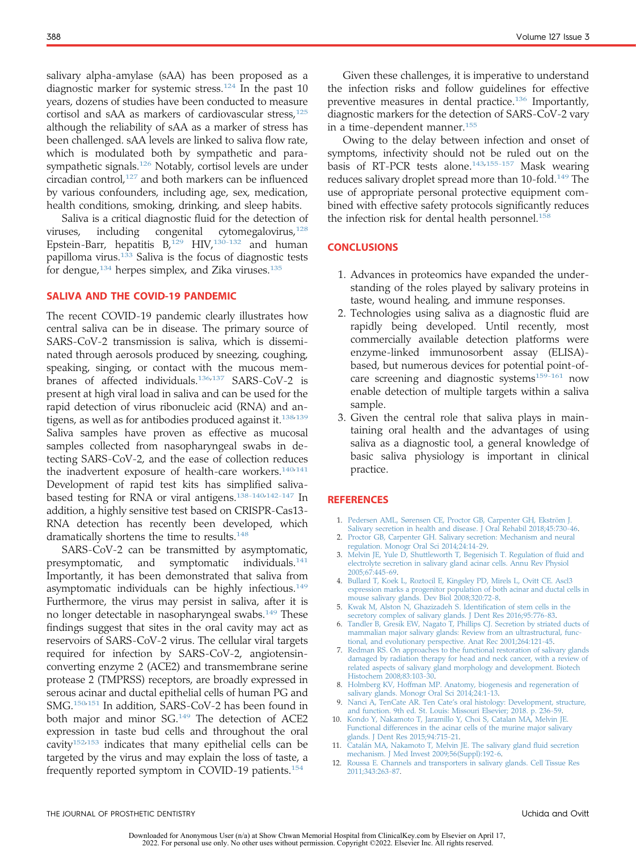salivary alpha-amylase (sAA) has been proposed as a diagnostic marker for systemic stress.<sup>[124](#page-7-46)</sup> In the past 10 years, dozens of studies have been conducted to measure cortisol and sAA as markers of cardiovascular stress, $125$ although the reliability of sAA as a marker of stress has been challenged. sAA levels are linked to saliva flow rate, which is modulated both by sympathetic and parasympathetic signals.<sup>126</sup> Notably, cortisol levels are under circadian control, $127$  and both markers can be influenced by various confounders, including age, sex, medication, health conditions, smoking, drinking, and sleep habits.

Saliva is a critical diagnostic fluid for the detection of viruses, including congenital cytomegalovirus,  $128$ Epstein-Barr, hepatitis  $B_r^{129}$  $B_r^{129}$  $B_r^{129}$  HIV,  $130-132$  and human papilloma virus.[133](#page-8-2) Saliva is the focus of diagnostic tests for dengue, $134$  herpes simplex, and Zika viruses. $135$ 

#### SALIVA AND THE COVID-19 PANDEMIC

The recent COVID-19 pandemic clearly illustrates how central saliva can be in disease. The primary source of SARS-CoV-2 transmission is saliva, which is disseminated through aerosols produced by sneezing, coughing, speaking, singing, or contact with the mucous membranes of affected individuals.[136](#page-8-5)[,137](#page-8-6) SARS-CoV-2 is present at high viral load in saliva and can be used for the rapid detection of virus ribonucleic acid (RNA) and an-tigens, as well as for antibodies produced against it.<sup>[138](#page-8-7)[,139](#page-8-8)</sup> Saliva samples have proven as effective as mucosal samples collected from nasopharyngeal swabs in detecting SARS-CoV-2, and the ease of collection reduces the inadvertent exposure of health-care workers.<sup>[140](#page-8-9)[,141](#page-8-10)</sup> Development of rapid test kits has simplified saliva-based testing for RNA or viral antigens.<sup>[138-140](#page-8-7)[,142-147](#page-8-11)</sup> In addition, a highly sensitive test based on CRISPR-Cas13- RNA detection has recently been developed, which dramatically shortens the time to results.<sup>[148](#page-8-12)</sup>

SARS-CoV-2 can be transmitted by asymptomatic, presymptomatic, and symptomatic individuals.<sup>141</sup> Importantly, it has been demonstrated that saliva from asymptomatic individuals can be highly infectious.<sup>149</sup> Furthermore, the virus may persist in saliva, after it is no longer detectable in nasopharyngeal swabs.<sup>[149](#page-8-13)</sup> These findings suggest that sites in the oral cavity may act as reservoirs of SARS-CoV-2 virus. The cellular viral targets required for infection by SARS-CoV-2, angiotensinconverting enzyme 2 (ACE2) and transmembrane serine protease 2 (TMPRSS) receptors, are broadly expressed in serous acinar and ductal epithelial cells of human PG and SMG.[150,](#page-8-14)[151](#page-8-15) In addition, SARS-CoV-2 has been found in both major and minor SG.<sup>[149](#page-8-13)</sup> The detection of ACE2 expression in taste bud cells and throughout the oral cavity $152,153$  $152,153$  indicates that many epithelial cells can be targeted by the virus and may explain the loss of taste, a frequently reported symptom in COVID-19 patients.<sup>[154](#page-8-18)</sup>

Given these challenges, it is imperative to understand the infection risks and follow guidelines for effective preventive measures in dental practice.<sup>[136](#page-8-5)</sup> Importantly, diagnostic markers for the detection of SARS-CoV-2 vary in a time-dependent manner.[155](#page-8-19)

Owing to the delay between infection and onset of symptoms, infectivity should not be ruled out on the basis of RT-PCR tests alone.<sup>[143](#page-8-20)[,155-157](#page-8-19)</sup> Mask wearing reduces salivary droplet spread more than 10-fold.<sup>[149](#page-8-13)</sup> The use of appropriate personal protective equipment combined with effective safety protocols significantly reduces the infection risk for dental health personnel.<sup>[158](#page-8-21)</sup>

## **CONCLUSIONS**

- 1. Advances in proteomics have expanded the understanding of the roles played by salivary proteins in taste, wound healing, and immune responses.
- 2. Technologies using saliva as a diagnostic fluid are rapidly being developed. Until recently, most commercially available detection platforms were enzyme-linked immunosorbent assay (ELISA) based, but numerous devices for potential point-of-care screening and diagnostic systems<sup>[159-161](#page-8-22)</sup> now enable detection of multiple targets within a saliva sample.
- 3. Given the central role that saliva plays in maintaining oral health and the advantages of using saliva as a diagnostic tool, a general knowledge of basic saliva physiology is important in clinical practice.

#### **REFERENCES**

- <span id="page-5-0"></span>1. [Pedersen AML, Sørensen CE, Proctor GB, Carpenter GH, Ekström J.](http://refhub.elsevier.com/S0022-3913(21)00273-0/sref1) [Salivary secretion in health and disease. J Oral Rehabil 2018;45:730-46](http://refhub.elsevier.com/S0022-3913(21)00273-0/sref1).
- <span id="page-5-1"></span>2. [Proctor GB, Carpenter GH. Salivary secretion: Mechanism and neural](http://refhub.elsevier.com/S0022-3913(21)00273-0/sref2) [regulation. Monogr Oral Sci 2014;24:14-29.](http://refhub.elsevier.com/S0022-3913(21)00273-0/sref2)
- <span id="page-5-2"></span>3. [Melvin JE, Yule D, Shuttleworth T, Begenisich T. Regulation of](http://refhub.elsevier.com/S0022-3913(21)00273-0/sref3) fluid and [electrolyte secretion in salivary gland acinar cells. Annu Rev Physiol](http://refhub.elsevier.com/S0022-3913(21)00273-0/sref3) [2005;67:445-69.](http://refhub.elsevier.com/S0022-3913(21)00273-0/sref3)
- <span id="page-5-3"></span>4. [Bullard T, Koek L, Roztocil E, Kingsley PD, Mirels L, Ovitt CE. Ascl3](http://refhub.elsevier.com/S0022-3913(21)00273-0/sref4) [expression marks a progenitor population of both acinar and ductal cells in](http://refhub.elsevier.com/S0022-3913(21)00273-0/sref4) [mouse salivary glands. Dev Biol 2008;320:72-8.](http://refhub.elsevier.com/S0022-3913(21)00273-0/sref4)
- <span id="page-5-4"></span>5. [Kwak M, Alston N, Ghazizadeh S. Identi](http://refhub.elsevier.com/S0022-3913(21)00273-0/sref5)fication of stem cells in the [secretory complex of salivary glands. J Dent Res 2016;95:776-83.](http://refhub.elsevier.com/S0022-3913(21)00273-0/sref5)
- <span id="page-5-5"></span>6. [Tandler B, Gresik EW, Nagato T, Phillips CJ. Secretion by striated ducts of](http://refhub.elsevier.com/S0022-3913(21)00273-0/sref6) [mammalian major salivary glands: Review from an ultrastructural, func-](http://refhub.elsevier.com/S0022-3913(21)00273-0/sref6)
- <span id="page-5-6"></span>[tional, and evolutionary perspective. Anat Rec 2001;264:121-45.](http://refhub.elsevier.com/S0022-3913(21)00273-0/sref6) 7. [Redman RS. On approaches to the functional restoration of salivary glands](http://refhub.elsevier.com/S0022-3913(21)00273-0/sref7) [damaged by radiation therapy for head and neck cancer, with a review of](http://refhub.elsevier.com/S0022-3913(21)00273-0/sref7) [related aspects of salivary gland morphology and development. Biotech](http://refhub.elsevier.com/S0022-3913(21)00273-0/sref7) [Histochem 2008;83:103-30](http://refhub.elsevier.com/S0022-3913(21)00273-0/sref7).
- <span id="page-5-7"></span>8. [Holmberg KV, Hoffman MP. Anatomy, biogenesis and regeneration of](http://refhub.elsevier.com/S0022-3913(21)00273-0/sref8)
- <span id="page-5-8"></span>[salivary glands. Monogr Oral Sci 2014;24:1-13](http://refhub.elsevier.com/S0022-3913(21)00273-0/sref8). 9. Nanci A, TenCate AR. Ten Cate'[s oral histology: Development, structure,](http://refhub.elsevier.com/S0022-3913(21)00273-0/sref9) [and function. 9th ed. St. Louis: Missouri Elsevier; 2018. p. 236-59.](http://refhub.elsevier.com/S0022-3913(21)00273-0/sref9)
- <span id="page-5-9"></span>10. [Kondo Y, Nakamoto T, Jaramillo Y, Choi S, Catalan MA, Melvin JE.](http://refhub.elsevier.com/S0022-3913(21)00273-0/sref10) [Functional differences in the acinar cells of the murine major salivary](http://refhub.elsevier.com/S0022-3913(21)00273-0/sref10) [glands. J Dent Res 2015;94:715-21.](http://refhub.elsevier.com/S0022-3913(21)00273-0/sref10)
- <span id="page-5-10"></span>11. [Catalán MA, Nakamoto T, Melvin JE. The salivary gland](http://refhub.elsevier.com/S0022-3913(21)00273-0/sref11) fluid secretion [mechanism. J Med Invest 2009;56\(Suppl\):192-6.](http://refhub.elsevier.com/S0022-3913(21)00273-0/sref11)
- <span id="page-5-11"></span>12. [Roussa E. Channels and transporters in salivary glands. Cell Tissue Res](http://refhub.elsevier.com/S0022-3913(21)00273-0/sref12) [2011;343:263-87.](http://refhub.elsevier.com/S0022-3913(21)00273-0/sref12)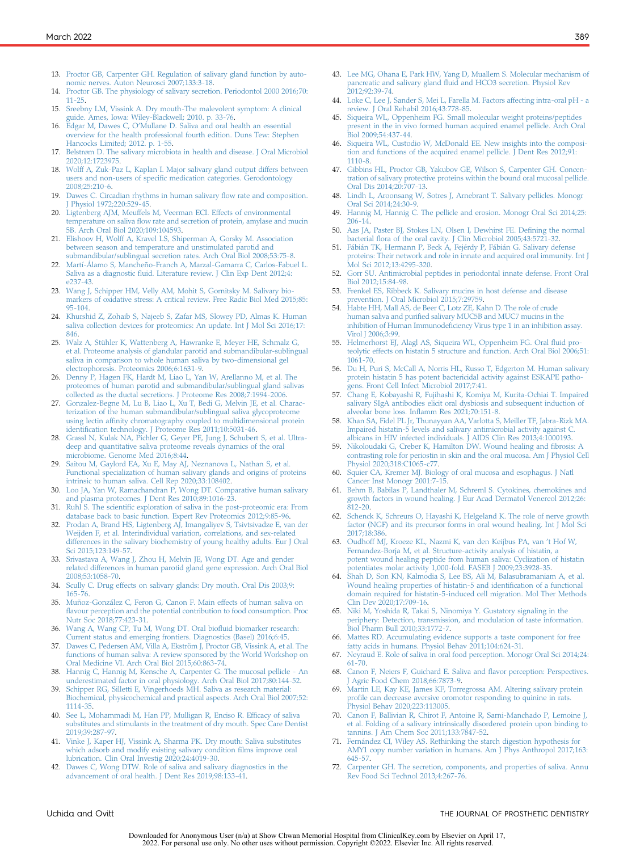- <span id="page-6-0"></span>13. [Proctor GB, Carpenter GH. Regulation of salivary gland function by auto](http://refhub.elsevier.com/S0022-3913(21)00273-0/sref13)[nomic nerves. Auton Neurosci 2007;133:3-18.](http://refhub.elsevier.com/S0022-3913(21)00273-0/sref13)
- <span id="page-6-1"></span>14. [Proctor GB. The physiology of salivary secretion. Periodontol 2000 2016;70:](http://refhub.elsevier.com/S0022-3913(21)00273-0/sref14) [11-25.](http://refhub.elsevier.com/S0022-3913(21)00273-0/sref14)
- <span id="page-6-2"></span>15. [Sreebny LM, Vissink A. Dry mouth-The malevolent symptom: A clinical](http://refhub.elsevier.com/S0022-3913(21)00273-0/sref15) [guide. Ames, Iowa: Wiley-Blackwell; 2010. p. 33-76](http://refhub.elsevier.com/S0022-3913(21)00273-0/sref15).
- <span id="page-6-3"></span>16. Edgar M, Dawes C, O'[Mullane D. Saliva and oral health an essential](http://refhub.elsevier.com/S0022-3913(21)00273-0/sref16) [overview for the health professional fourth edition. Duns Tew: Stephen](http://refhub.elsevier.com/S0022-3913(21)00273-0/sref16) [Hancocks Limited; 2012. p. 1-55](http://refhub.elsevier.com/S0022-3913(21)00273-0/sref16).
- <span id="page-6-4"></span>17. [Belstrøm D. The salivary microbiota in health and disease. J Oral Microbiol](http://refhub.elsevier.com/S0022-3913(21)00273-0/sref17) [2020;12:1723975.](http://refhub.elsevier.com/S0022-3913(21)00273-0/sref17)
- <span id="page-6-5"></span>18. [Wolff A, Zuk-Paz L, Kaplan I. Major salivary gland output differs between](http://refhub.elsevier.com/S0022-3913(21)00273-0/sref18) users and non-users of specifi[c medication categories. Gerodontology](http://refhub.elsevier.com/S0022-3913(21)00273-0/sref18) [2008;25:210-6](http://refhub.elsevier.com/S0022-3913(21)00273-0/sref18).
- <span id="page-6-6"></span>19. [Dawes C. Circadian rhythms in human salivary](http://refhub.elsevier.com/S0022-3913(21)00273-0/sref19) flow rate and composition. Physiol 1972;220:529-45.
- <span id="page-6-7"></span>20. [Ligtenberg AJM, Meuffels M, Veerman ECI. Effects of environmental](http://refhub.elsevier.com/S0022-3913(21)00273-0/sref20) temperature on saliva fl[ow rate and secretion of protein, amylase and mucin](http://refhub.elsevier.com/S0022-3913(21)00273-0/sref20) [5B. Arch Oral Biol 2020;109:104593.](http://refhub.elsevier.com/S0022-3913(21)00273-0/sref20)
- <span id="page-6-8"></span>21. [Elishoov H, Wolff A, Kravel LS, Shiperman A, Gorsky M. Association](http://refhub.elsevier.com/S0022-3913(21)00273-0/sref21) [between season and temperature and unstimulated parotid and](http://refhub.elsevier.com/S0022-3913(21)00273-0/sref21) [submandibular/sublingual secretion rates. Arch Oral Biol 2008;53:75-8](http://refhub.elsevier.com/S0022-3913(21)00273-0/sref21).
- <span id="page-6-9"></span>22. [Martí-Álamo S, Mancheño-Franch A, Marzal-Gamarra C, Carlos-Fabuel L.](http://refhub.elsevier.com/S0022-3913(21)00273-0/sref22) Saliva as a diagnostic fl[uid. Literature review. J Clin Exp Dent 2012;4:](http://refhub.elsevier.com/S0022-3913(21)00273-0/sref22) [e237-43.](http://refhub.elsevier.com/S0022-3913(21)00273-0/sref22)
- <span id="page-6-54"></span>23. [Wang J, Schipper HM, Velly AM, Mohit S, Gornitsky M. Salivary bio](http://refhub.elsevier.com/S0022-3913(21)00273-0/sref23)[markers of oxidative stress: A critical review. Free Radic Biol Med 2015;85:](http://refhub.elsevier.com/S0022-3913(21)00273-0/sref23) [95-104](http://refhub.elsevier.com/S0022-3913(21)00273-0/sref23).
- 24. [Khurshid Z, Zohaib S, Najeeb S, Zafar MS, Slowey PD, Almas K. Human](http://refhub.elsevier.com/S0022-3913(21)00273-0/sref24) [saliva collection devices for proteomics: An update. Int J Mol Sci 2016;17:](http://refhub.elsevier.com/S0022-3913(21)00273-0/sref24) [846](http://refhub.elsevier.com/S0022-3913(21)00273-0/sref24).
- <span id="page-6-10"></span>25. [Walz A, Stühler K, Wattenberg A, Hawranke E, Meyer HE, Schmalz G,](http://refhub.elsevier.com/S0022-3913(21)00273-0/sref25) [et al. Proteome analysis of glandular parotid and submandibular-sublingual](http://refhub.elsevier.com/S0022-3913(21)00273-0/sref25) [saliva in comparison to whole human saliva by two-dimensional gel](http://refhub.elsevier.com/S0022-3913(21)00273-0/sref25) [electrophoresis. Proteomics 2006;6:1631-9.](http://refhub.elsevier.com/S0022-3913(21)00273-0/sref25)
- 26. [Denny P, Hagen FK, Hardt M, Liao L, Yan W, Arellanno M, et al. The](http://refhub.elsevier.com/S0022-3913(21)00273-0/sref26) [proteomes of human parotid and submandibular/sublingual gland salivas](http://refhub.elsevier.com/S0022-3913(21)00273-0/sref26) [collected as the ductal secretions. J Proteome Res 2008;7:1994-2006.](http://refhub.elsevier.com/S0022-3913(21)00273-0/sref26)
- 27. [Gonzalez-Begne M, Lu B, Liao L, Xu T, Bedi G, Melvin JE, et al. Charac](http://refhub.elsevier.com/S0022-3913(21)00273-0/sref27)[terization of the human submandibular/sublingual saliva glycoproteome](http://refhub.elsevier.com/S0022-3913(21)00273-0/sref27) using lectin affi[nity chromatography coupled to multidimensional protein](http://refhub.elsevier.com/S0022-3913(21)00273-0/sref27) identifi[cation technology. J Proteome Res 2011;10:5031-46.](http://refhub.elsevier.com/S0022-3913(21)00273-0/sref27) 28. [Grassl N, Kulak NA, Pichler G, Geyer PE, Jung J, Schubert S, et al. Ultra-](http://refhub.elsevier.com/S0022-3913(21)00273-0/sref28)
- [deep and quantitative saliva proteome reveals dynamics of the oral](http://refhub.elsevier.com/S0022-3913(21)00273-0/sref28) [microbiome. Genome Med 2016;8:44.](http://refhub.elsevier.com/S0022-3913(21)00273-0/sref28)
- <span id="page-6-11"></span>29. [Saitou M, Gaylord EA, Xu E, May AJ, Neznanova L, Nathan S, et al.](http://refhub.elsevier.com/S0022-3913(21)00273-0/sref29) [Functional specialization of human salivary glands and origins of proteins](http://refhub.elsevier.com/S0022-3913(21)00273-0/sref29) [intrinsic to human saliva. Cell Rep 2020;33:108402.](http://refhub.elsevier.com/S0022-3913(21)00273-0/sref29)
- 30. [Loo JA, Yan W, Ramachandran P, Wong DT. Comparative human salivary](http://refhub.elsevier.com/S0022-3913(21)00273-0/sref30) [and plasma proteomes. J Dent Res 2010;89:1016-23.](http://refhub.elsevier.com/S0022-3913(21)00273-0/sref30)
- <span id="page-6-12"></span>31. Ruhl S. The scientifi[c exploration of saliva in the post-proteomic era: From](http://refhub.elsevier.com/S0022-3913(21)00273-0/sref31) [database back to basic function. Expert Rev Proteomics 2012;9:85-96.](http://refhub.elsevier.com/S0022-3913(21)00273-0/sref31)
- <span id="page-6-13"></span>32. [Prodan A, Brand HS, Ligtenberg AJ, Imangaliyev S, Tsivtsivadze E, van der](http://refhub.elsevier.com/S0022-3913(21)00273-0/sref32) [Weijden F, et al. Interindividual variation, correlations, and sex-related](http://refhub.elsevier.com/S0022-3913(21)00273-0/sref32) [differences in the salivary biochemistry of young healthy adults. Eur J Oral](http://refhub.elsevier.com/S0022-3913(21)00273-0/sref32) [Sci 2015;123:149-57.](http://refhub.elsevier.com/S0022-3913(21)00273-0/sref32)
- <span id="page-6-14"></span>33. [Srivastava A, Wang J, Zhou H, Melvin JE, Wong DT. Age and gender](http://refhub.elsevier.com/S0022-3913(21)00273-0/sref33) [related differences in human parotid gland gene expression. Arch Oral Biol](http://refhub.elsevier.com/S0022-3913(21)00273-0/sref33) [2008;53:1058-70](http://refhub.elsevier.com/S0022-3913(21)00273-0/sref33).
- <span id="page-6-15"></span>34. [Scully C. Drug effects on salivary glands: Dry mouth. Oral Dis 2003;9:](http://refhub.elsevier.com/S0022-3913(21)00273-0/sref34) [165-76](http://refhub.elsevier.com/S0022-3913(21)00273-0/sref34).
- <span id="page-6-16"></span>35. [Muñoz-González C, Feron G, Canon F. Main effects of human saliva on](http://refhub.elsevier.com/S0022-3913(21)00273-0/sref35) fl[avour perception and the potential contribution to food consumption. Proc](http://refhub.elsevier.com/S0022-3913(21)00273-0/sref35) [Nutr Soc 2018;77:423-31.](http://refhub.elsevier.com/S0022-3913(21)00273-0/sref35)
- <span id="page-6-17"></span>36. [Wang A, Wang CP, Tu M, Wong DT. Oral bio](http://refhub.elsevier.com/S0022-3913(21)00273-0/sref36)fluid biomarker research: [Current status and emerging frontiers. Diagnostics \(Basel\) 2016;6:45](http://refhub.elsevier.com/S0022-3913(21)00273-0/sref36).
- <span id="page-6-18"></span>[Dawes C, Pedersen AM, Villa A, Ekström J, Proctor GB, Vissink A, et al. The](http://refhub.elsevier.com/S0022-3913(21)00273-0/sref37) [functions of human saliva: A review sponsored by the World Workshop on](http://refhub.elsevier.com/S0022-3913(21)00273-0/sref37) [Oral Medicine VI. Arch Oral Biol 2015;60:863-74.](http://refhub.elsevier.com/S0022-3913(21)00273-0/sref37)
- <span id="page-6-19"></span>38. [Hannig C, Hannig M, Kensche A, Carpenter G. The mucosal pellicle - An](http://refhub.elsevier.com/S0022-3913(21)00273-0/sref38) [underestimated factor in oral physiology. Arch Oral Biol 2017;80:144-52.](http://refhub.elsevier.com/S0022-3913(21)00273-0/sref38)
- <span id="page-6-20"></span>39. [Schipper RG, Silletti E, Vingerhoeds MH. Saliva as research material:](http://refhub.elsevier.com/S0022-3913(21)00273-0/sref39) [Biochemical, physicochemical and practical aspects. Arch Oral Biol 2007;52:](http://refhub.elsevier.com/S0022-3913(21)00273-0/sref39) [1114-35.](http://refhub.elsevier.com/S0022-3913(21)00273-0/sref39)
- <span id="page-6-21"></span>40. [See L, Mohammadi M, Han PP, Mulligan R, Enciso R. Ef](http://refhub.elsevier.com/S0022-3913(21)00273-0/sref40)ficacy of saliva [substitutes and stimulants in the treatment of dry mouth. Spec Care Dentist](http://refhub.elsevier.com/S0022-3913(21)00273-0/sref40) [2019;39:287-97.](http://refhub.elsevier.com/S0022-3913(21)00273-0/sref40)
- <span id="page-6-22"></span>41. [Vinke J, Kaper HJ, Vissink A, Sharma PK. Dry mouth: Saliva substitutes](http://refhub.elsevier.com/S0022-3913(21)00273-0/sref41) [which adsorb and modify existing salivary condition](http://refhub.elsevier.com/S0022-3913(21)00273-0/sref41) films improve oral [lubrication. Clin Oral Investig 2020;24:4019-30](http://refhub.elsevier.com/S0022-3913(21)00273-0/sref41).
- <span id="page-6-23"></span>42. [Dawes C, Wong DTW. Role of saliva and salivary diagnostics in the](http://refhub.elsevier.com/S0022-3913(21)00273-0/sref42) [advancement of oral health. J Dent Res 2019;98:133-41](http://refhub.elsevier.com/S0022-3913(21)00273-0/sref42).
- <span id="page-6-24"></span>43. [Lee MG, Ohana E, Park HW, Yang D, Muallem S. Molecular mechanism of](http://refhub.elsevier.com/S0022-3913(21)00273-0/sref43) pancreatic and salivary gland fl[uid and HCO3 secretion. Physiol Rev](http://refhub.elsevier.com/S0022-3913(21)00273-0/sref43) [2012;92:39-74.](http://refhub.elsevier.com/S0022-3913(21)00273-0/sref43)
- <span id="page-6-25"></span>44. [Loke C, Lee J, Sander S, Mei L, Farella M. Factors affecting intra-oral pH - a](http://refhub.elsevier.com/S0022-3913(21)00273-0/sref44) [review. J Oral Rehabil 2016;43:778-85](http://refhub.elsevier.com/S0022-3913(21)00273-0/sref44).
- <span id="page-6-26"></span>45. [Siqueira WL, Oppenheim FG. Small molecular weight proteins/peptides](http://refhub.elsevier.com/S0022-3913(21)00273-0/sref45) [present in the in vivo formed human acquired enamel pellicle. Arch Oral](http://refhub.elsevier.com/S0022-3913(21)00273-0/sref45) [Biol 2009;54:437-44.](http://refhub.elsevier.com/S0022-3913(21)00273-0/sref45)
- <span id="page-6-27"></span>46. [Siqueira WL, Custodio W, McDonald EE. New insights into the composi](http://refhub.elsevier.com/S0022-3913(21)00273-0/sref46)[tion and functions of the acquired enamel pellicle. J Dent Res 2012;91:](http://refhub.elsevier.com/S0022-3913(21)00273-0/sref46) [1110-8.](http://refhub.elsevier.com/S0022-3913(21)00273-0/sref46)
- <span id="page-6-28"></span>47. [Gibbins HL, Proctor GB, Yakubov GE, Wilson S, Carpenter GH. Concen](http://refhub.elsevier.com/S0022-3913(21)00273-0/sref47)[tration of salivary protective proteins within the bound oral mucosal pellicle.](http://refhub.elsevier.com/S0022-3913(21)00273-0/sref47) [Oral Dis 2014;20:707-13.](http://refhub.elsevier.com/S0022-3913(21)00273-0/sref47)
- <span id="page-6-29"></span>[Lindh L, Aroonsang W, Sotres J, Arnebrant T. Salivary pellicles. Monogr](http://refhub.elsevier.com/S0022-3913(21)00273-0/sref48) [Oral Sci 2014;24:30-9](http://refhub.elsevier.com/S0022-3913(21)00273-0/sref48).
- <span id="page-6-30"></span>[Hannig M, Hannig C. The pellicle and erosion. Monogr Oral Sci 2014;25:](http://refhub.elsevier.com/S0022-3913(21)00273-0/sref49) [206-14.](http://refhub.elsevier.com/S0022-3913(21)00273-0/sref49)
- <span id="page-6-31"></span>50. [Aas JA, Paster BJ, Stokes LN, Olsen I, Dewhirst FE. De](http://refhub.elsevier.com/S0022-3913(21)00273-0/sref50)fining the normal bacterial fl[ora of the oral cavity. J Clin Microbiol 2005;43:5721-32.](http://refhub.elsevier.com/S0022-3913(21)00273-0/sref50)
- <span id="page-6-32"></span>51. [Fábián TK, Hermann P, Beck A, Fejérdy P, Fábián G. Salivary defense](http://refhub.elsevier.com/S0022-3913(21)00273-0/sref51) [proteins: Their network and role in innate and acquired oral immunity. Int J](http://refhub.elsevier.com/S0022-3913(21)00273-0/sref51) [Mol Sci 2012;13:4295-320](http://refhub.elsevier.com/S0022-3913(21)00273-0/sref51).
- <span id="page-6-33"></span>52. [Gorr SU. Antimicrobial peptides in periodontal innate defense. Front Oral](http://refhub.elsevier.com/S0022-3913(21)00273-0/sref52) [Biol 2012;15:84-98](http://refhub.elsevier.com/S0022-3913(21)00273-0/sref52).
- <span id="page-6-34"></span>53. [Frenkel ES, Ribbeck K. Salivary mucins in host defense and disease](http://refhub.elsevier.com/S0022-3913(21)00273-0/sref53) [prevention. J Oral Microbiol 2015;7:29759](http://refhub.elsevier.com/S0022-3913(21)00273-0/sref53).
- <span id="page-6-35"></span>54. [Habte HH, Mall AS, de Beer C, Lotz ZE, Kahn D. The role of crude](http://refhub.elsevier.com/S0022-3913(21)00273-0/sref54) human saliva and purifi[ed salivary MUC5B and MUC7 mucins in the](http://refhub.elsevier.com/S0022-3913(21)00273-0/sref54) inhibition of Human Immunodefi[ciency Virus type 1 in an inhibition assay.](http://refhub.elsevier.com/S0022-3913(21)00273-0/sref54) [Virol J 2006;3:99](http://refhub.elsevier.com/S0022-3913(21)00273-0/sref54).
- <span id="page-6-36"></span>55. [Helmerhorst EJ, Alagl AS, Siqueira WL, Oppenheim FG. Oral](http://refhub.elsevier.com/S0022-3913(21)00273-0/sref55) fluid pro[teolytic effects on histatin 5 structure and function. Arch Oral Biol 2006;51:](http://refhub.elsevier.com/S0022-3913(21)00273-0/sref55) [1061-70](http://refhub.elsevier.com/S0022-3913(21)00273-0/sref55).
- <span id="page-6-37"></span>56. [Du H, Puri S, McCall A, Norris HL, Russo T, Edgerton M. Human salivary](http://refhub.elsevier.com/S0022-3913(21)00273-0/sref56) [protein histatin 5 has potent bactericidal activity against ESKAPE patho](http://refhub.elsevier.com/S0022-3913(21)00273-0/sref56)[gens. Front Cell Infect Microbiol 2017;7:41](http://refhub.elsevier.com/S0022-3913(21)00273-0/sref56).
- <span id="page-6-38"></span>57. [Chang E, Kobayashi R, Fujihashi K, Komiya M, Kurita-Ochiai T. Impaired](http://refhub.elsevier.com/S0022-3913(21)00273-0/sref57) [salivary SIgA antibodies elicit oral dysbiosis and subsequent induction of](http://refhub.elsevier.com/S0022-3913(21)00273-0/sref57) alveolar bone loss. Infl[amm Res 2021;70:151-8.](http://refhub.elsevier.com/S0022-3913(21)00273-0/sref57)
- <span id="page-6-39"></span>58. [Khan SA, Fidel PL Jr, Thunayyan AA, Varlotta S, Meiller TF, Jabra-Rizk MA.](http://refhub.elsevier.com/S0022-3913(21)00273-0/sref58) [Impaired histatin-5 levels and salivary antimicrobial activity against C.](http://refhub.elsevier.com/S0022-3913(21)00273-0/sref58) [albicans in HIV infected individuals. J AIDS Clin Res 2013;4:1000193](http://refhub.elsevier.com/S0022-3913(21)00273-0/sref58).
- <span id="page-6-40"></span>59. [Nikoloudaki G, Creber K, Hamilton DW. Wound healing and](http://refhub.elsevier.com/S0022-3913(21)00273-0/sref59) fibrosis: A [contrasting role for periostin in skin and the oral mucosa. Am J Physiol Cell](http://refhub.elsevier.com/S0022-3913(21)00273-0/sref59) Physiol 2020:318:C1065-c77
- <span id="page-6-41"></span>[Squier CA, Kremer MJ. Biology of oral mucosa and esophagus. J Natl](http://refhub.elsevier.com/S0022-3913(21)00273-0/sref60) [Cancer Inst Monogr 2001:7-15](http://refhub.elsevier.com/S0022-3913(21)00273-0/sref60).
- <span id="page-6-42"></span>61. [Behm B, Babilas P, Landthaler M, Schreml S. Cytokines, chemokines and](http://refhub.elsevier.com/S0022-3913(21)00273-0/sref61) [growth factors in wound healing. J Eur Acad Dermatol Venereol 2012;26:](http://refhub.elsevier.com/S0022-3913(21)00273-0/sref61) [812-20.](http://refhub.elsevier.com/S0022-3913(21)00273-0/sref61)
- <span id="page-6-43"></span>62. [Schenck K, Schreurs O, Hayashi K, Helgeland K. The role of nerve growth](http://refhub.elsevier.com/S0022-3913(21)00273-0/sref62) [factor \(NGF\) and its precursor forms in oral wound healing. Int J Mol Sci](http://refhub.elsevier.com/S0022-3913(21)00273-0/sref62) [2017;18:386](http://refhub.elsevier.com/S0022-3913(21)00273-0/sref62).
- <span id="page-6-44"></span>63. [Oudhoff MJ, Kroeze KL, Nazmi K, van den Keijbus PA, van](http://refhub.elsevier.com/S0022-3913(21)00273-0/sref63) 't Hof W, [Fernandez-Borja M, et al. Structure-activity analysis of histatin, a](http://refhub.elsevier.com/S0022-3913(21)00273-0/sref63) [potent wound healing peptide from human saliva: Cyclization of histatin](http://refhub.elsevier.com/S0022-3913(21)00273-0/sref63) [potentiates molar activity 1,000-fold. FASEB J 2009;23:3928-35](http://refhub.elsevier.com/S0022-3913(21)00273-0/sref63).
- <span id="page-6-45"></span>64. [Shah D, Son KN, Kalmodia S, Lee BS, Ali M, Balasubramaniam A, et al.](http://refhub.elsevier.com/S0022-3913(21)00273-0/sref64) [Wound healing properties of histatin-5 and identi](http://refhub.elsevier.com/S0022-3913(21)00273-0/sref64)fication of a functional [domain required for histatin-5-induced cell migration. Mol Ther Methods](http://refhub.elsevier.com/S0022-3913(21)00273-0/sref64) [Clin Dev 2020;17:709-16.](http://refhub.elsevier.com/S0022-3913(21)00273-0/sref64)
- <span id="page-6-46"></span>65. [Niki M, Yoshida R, Takai S, Ninomiya Y. Gustatory signaling in the](http://refhub.elsevier.com/S0022-3913(21)00273-0/sref65) [periphery: Detection, transmission, and modulation of taste information.](http://refhub.elsevier.com/S0022-3913(21)00273-0/sref65) [Biol Pharm Bull 2010;33:1772-7](http://refhub.elsevier.com/S0022-3913(21)00273-0/sref65).
- <span id="page-6-47"></span>[Mattes RD. Accumulating evidence supports a taste component for free](http://refhub.elsevier.com/S0022-3913(21)00273-0/sref66) [fatty acids in humans. Physiol Behav 2011;104:624-31](http://refhub.elsevier.com/S0022-3913(21)00273-0/sref66).
- <span id="page-6-48"></span>67. [Neyraud E. Role of saliva in oral food perception. Monogr Oral Sci 2014;24:](http://refhub.elsevier.com/S0022-3913(21)00273-0/sref67) [61-70](http://refhub.elsevier.com/S0022-3913(21)00273-0/sref67).
- <span id="page-6-49"></span>68. [Canon F, Neiers F, Guichard E. Saliva and](http://refhub.elsevier.com/S0022-3913(21)00273-0/sref68) flavor perception: Perspectives. Agric Food Chem 2018;66:7873-9.
- <span id="page-6-50"></span>69. [Martin LE, Kay KE, James KF, Torregrossa AM. Altering salivary protein](http://refhub.elsevier.com/S0022-3913(21)00273-0/sref69) profi[le can decrease aversive oromotor responding to quinine in rats.](http://refhub.elsevier.com/S0022-3913(21)00273-0/sref69) [Physiol Behav 2020;223:113005](http://refhub.elsevier.com/S0022-3913(21)00273-0/sref69).
- <span id="page-6-51"></span>70. [Canon F, Ballivian R, Chirot F, Antoine R, Sarni-Manchado P, Lemoine J,](http://refhub.elsevier.com/S0022-3913(21)00273-0/sref70) [et al. Folding of a salivary intrinsically disordered protein upon binding to](http://refhub.elsevier.com/S0022-3913(21)00273-0/sref70) [tannins. J Am Chem Soc 2011;133:7847-52.](http://refhub.elsevier.com/S0022-3913(21)00273-0/sref70)
- <span id="page-6-52"></span>71. [Fernández CI, Wiley AS. Rethinking the starch digestion hypothesis for](http://refhub.elsevier.com/S0022-3913(21)00273-0/sref71) [AMY1 copy number variation in humans. Am J Phys Anthropol 2017;163:](http://refhub.elsevier.com/S0022-3913(21)00273-0/sref71) [645-57.](http://refhub.elsevier.com/S0022-3913(21)00273-0/sref71)
- <span id="page-6-53"></span>72. [Carpenter GH. The secretion, components, and properties of saliva. Annu](http://refhub.elsevier.com/S0022-3913(21)00273-0/sref72) [Rev Food Sci Technol 2013;4:267-76.](http://refhub.elsevier.com/S0022-3913(21)00273-0/sref72)

#### Uchida and Ovitt **THE JOURNAL OF PROSTHETIC DENTISTRY THE JOURNAL OF PROSTHETIC DENTISTRY**

Downloaded for Anonymous User (n/a) at Show Chwan Memorial Hospital from ClinicalKey.com by Elsevier on April 17, 2022. For personal use only. No other uses without permission. Copyright ©2022. Elsevier Inc. All rights reserved.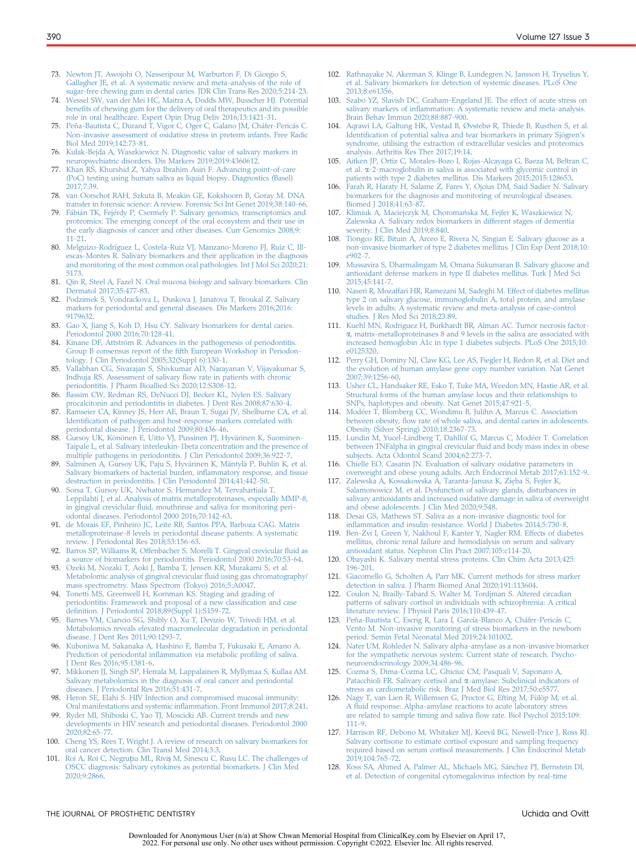- <span id="page-7-0"></span>73. [Newton JT, Awojobi O, Nasseripour M, Warburton F, Di Giorgio S,](http://refhub.elsevier.com/S0022-3913(21)00273-0/sref73) [Gallagher JE, et al. A systematic review and meta-analysis of the role of](http://refhub.elsevier.com/S0022-3913(21)00273-0/sref73) [sugar-free chewing gum in dental caries. JDR Clin Trans Res 2020;5:214-23.](http://refhub.elsevier.com/S0022-3913(21)00273-0/sref73)
- <span id="page-7-1"></span>74. [Wessel SW, van der Mei HC, Maitra A, Dodds MW, Busscher HJ. Potential](http://refhub.elsevier.com/S0022-3913(21)00273-0/sref74) benefi[ts of chewing gum for the delivery of oral therapeutics and its possible](http://refhub.elsevier.com/S0022-3913(21)00273-0/sref74) [role in oral healthcare. Expert Opin Drug Deliv 2016;13:1421-31.](http://refhub.elsevier.com/S0022-3913(21)00273-0/sref74)
- <span id="page-7-2"></span>75. [Peña-Bautista C, Durand T, Vigor C, Oger C, Galano JM, Cháfer-Pericás C.](http://refhub.elsevier.com/S0022-3913(21)00273-0/sref75) [Non-invasive assessment of oxidative stress in preterm infants. Free Radic](http://refhub.elsevier.com/S0022-3913(21)00273-0/sref75) [Biol Med 2019;142:73-81.](http://refhub.elsevier.com/S0022-3913(21)00273-0/sref75)
- <span id="page-7-3"></span>Kuł[ak-Bejda A, Waszkiewicz N. Diagnostic value of salivary markers in](http://refhub.elsevier.com/S0022-3913(21)00273-0/sref76) [neuropsychiatric disorders. Dis Markers 2019;2019:4360612](http://refhub.elsevier.com/S0022-3913(21)00273-0/sref76).
- <span id="page-7-4"></span>[Khan RS, Khurshid Z, Yahya Ibrahim Asiri F. Advancing point-of-care](http://refhub.elsevier.com/S0022-3913(21)00273-0/sref77) [\(PoC\) testing using human saliva as liquid biopsy. Diagnostics \(Basel\)](http://refhub.elsevier.com/S0022-3913(21)00273-0/sref77) [2017;7:39.](http://refhub.elsevier.com/S0022-3913(21)00273-0/sref77)
- <span id="page-7-5"></span>78. [van Oorschot RAH, Szkuta B, Meakin GE, Kokshoorn B, Goray M. DNA](http://refhub.elsevier.com/S0022-3913(21)00273-0/sref78) [transfer in forensic science: A review. Forensic Sci Int Genet 2019;38:140-66.](http://refhub.elsevier.com/S0022-3913(21)00273-0/sref78)
- <span id="page-7-6"></span>[Fábián TK, Fejérdy P, Csermely P. Salivary genomics, transcriptomics and](http://refhub.elsevier.com/S0022-3913(21)00273-0/sref79) [proteomics: The emerging concept of the oral ecosystem and their use in](http://refhub.elsevier.com/S0022-3913(21)00273-0/sref79) [the early diagnosis of cancer and other diseases. Curr Genomics 2008;9:](http://refhub.elsevier.com/S0022-3913(21)00273-0/sref79) [11-21.](http://refhub.elsevier.com/S0022-3913(21)00273-0/sref79)
- <span id="page-7-7"></span>80. [Melguizo-Rodríguez L, Costela-Ruiz VJ, Manzano-Moreno FJ, Ruiz C, Ill](http://refhub.elsevier.com/S0022-3913(21)00273-0/sref80)[escas-Montes R. Salivary biomarkers and their application in the diagnosis](http://refhub.elsevier.com/S0022-3913(21)00273-0/sref80) [and monitoring of the most common oral pathologies. Int J Mol Sci 2020;21:](http://refhub.elsevier.com/S0022-3913(21)00273-0/sref80) [5173.](http://refhub.elsevier.com/S0022-3913(21)00273-0/sref80)
- <span id="page-7-8"></span>81. [Qin R, Steel A, Fazel N. Oral mucosa biology and salivary biomarkers. Clin](http://refhub.elsevier.com/S0022-3913(21)00273-0/sref81) [Dermatol 2017;35:477-83.](http://refhub.elsevier.com/S0022-3913(21)00273-0/sref81)
- <span id="page-7-9"></span>82. [Podzimek S, Vondrackova L, Duskova J, Janatova T, Broukal Z. Salivary](http://refhub.elsevier.com/S0022-3913(21)00273-0/sref82) [markers for periodontal and general diseases. Dis Markers 2016;2016:](http://refhub.elsevier.com/S0022-3913(21)00273-0/sref82) [9179632](http://refhub.elsevier.com/S0022-3913(21)00273-0/sref82).
- <span id="page-7-10"></span>83. [Gao X, Jiang S, Koh D, Hsu CY. Salivary biomarkers for dental caries.](http://refhub.elsevier.com/S0022-3913(21)00273-0/sref83) [Periodontol 2000 2016;70:128-41.](http://refhub.elsevier.com/S0022-3913(21)00273-0/sref83)
- <span id="page-7-11"></span>84. [Kinane DF, Attström R. Advances in the pathogenesis of periodontitis.](http://refhub.elsevier.com/S0022-3913(21)00273-0/sref84) Group B consensus report of the fi[fth European Workshop in Periodon](http://refhub.elsevier.com/S0022-3913(21)00273-0/sref84)[tology. J Clin Periodontol 2005;32\(Suppl 6\):130-1.](http://refhub.elsevier.com/S0022-3913(21)00273-0/sref84)
- <span id="page-7-12"></span>85. [Vallabhan CG, Sivarajan S, Shivkumar AD, Narayanan V, Vijayakumar S,](http://refhub.elsevier.com/S0022-3913(21)00273-0/sref85) [Indhuja RS. Assessment of salivary](http://refhub.elsevier.com/S0022-3913(21)00273-0/sref85) flow rate in patients with chronic [periodontitis. J Pharm Bioallied Sci 2020;12:S308-12.](http://refhub.elsevier.com/S0022-3913(21)00273-0/sref85)
- <span id="page-7-13"></span>86. [Bassim CW, Redman RS, DeNucci DJ, Becker KL, Nylen ES. Salivary](http://refhub.elsevier.com/S0022-3913(21)00273-0/sref86) [procalcitonin and periodontitis in diabetes. J Dent Res 2008;87:630-4.](http://refhub.elsevier.com/S0022-3913(21)00273-0/sref86)
- <span id="page-7-14"></span>87. [Ramseier CA, Kinney JS, Herr AE, Braun T, Sugai JV, Shelburne CA, et al.](http://refhub.elsevier.com/S0022-3913(21)00273-0/sref87) Identifi[cation of pathogen and host-response markers correlated with](http://refhub.elsevier.com/S0022-3913(21)00273-0/sref87) [periodontal disease. J Periodontol 2009;80:436-46](http://refhub.elsevier.com/S0022-3913(21)00273-0/sref87).
- <span id="page-7-15"></span>88. [Gursoy UK, Könönen E, Uitto VJ, Pussinen PJ, Hyvärinen K, Suominen-](http://refhub.elsevier.com/S0022-3913(21)00273-0/sref88)[Taipale L, et al. Salivary interleukin-1beta concentration and the presence of](http://refhub.elsevier.com/S0022-3913(21)00273-0/sref88)
- [multiple pathogens in periodontitis. J Clin Periodontol 2009;36:922-7](http://refhub.elsevier.com/S0022-3913(21)00273-0/sref88). 89. [Salminen A, Gursoy UK, Paju S, Hyvärinen K, Mäntylä P, Buhlin K, et al.](http://refhub.elsevier.com/S0022-3913(21)00273-0/sref89) [Salivary biomarkers of bacterial burden, in](http://refhub.elsevier.com/S0022-3913(21)00273-0/sref89)flammatory response, and tissue [destruction in periodontitis. J Clin Periodontol 2014;41:442-50](http://refhub.elsevier.com/S0022-3913(21)00273-0/sref89).
- 90. [Sorsa T, Gursoy UK, Nwhator S, Hernandez M, Tervahartiala T,](http://refhub.elsevier.com/S0022-3913(21)00273-0/sref90) [Leppilahti J, et al. Analysis of matrix metalloproteinases, especially MMP-8,](http://refhub.elsevier.com/S0022-3913(21)00273-0/sref90) in gingival creviclular fl[uid, mouthrinse and saliva for monitoring peri](http://refhub.elsevier.com/S0022-3913(21)00273-0/sref90)[odontal diseases. Periodontol 2000 2016;70:142-63.](http://refhub.elsevier.com/S0022-3913(21)00273-0/sref90)
- 91. [de Morais EF, Pinheiro JC, Leite RB, Santos PPA, Barboza CAG. Matrix](http://refhub.elsevier.com/S0022-3913(21)00273-0/sref91) [metalloproteinase-8 levels in periodontal disease patients: A systematic](http://refhub.elsevier.com/S0022-3913(21)00273-0/sref91) [review. J Periodontal Res 2018;53:156-63.](http://refhub.elsevier.com/S0022-3913(21)00273-0/sref91)
- <span id="page-7-16"></span>[Barros SP, Williams R, Offenbacher S, Morelli T. Gingival crevicular](http://refhub.elsevier.com/S0022-3913(21)00273-0/sref92) fluid as [a source of biomarkers for periodontitis. Periodontol 2000 2016;70:53-64](http://refhub.elsevier.com/S0022-3913(21)00273-0/sref92).
- <span id="page-7-17"></span>93. [Ozeki M, Nozaki T, Aoki J, Bamba T, Jensen KR, Murakami S, et al.](http://refhub.elsevier.com/S0022-3913(21)00273-0/sref93) [Metabolomic analysis of gingival crevicular](http://refhub.elsevier.com/S0022-3913(21)00273-0/sref93) fluid using gas chromatography/ [mass spectrometry. Mass Spectrom \(Tokyo\) 2016;5:A0047](http://refhub.elsevier.com/S0022-3913(21)00273-0/sref93).
- <span id="page-7-18"></span>94. [Tonetti MS, Greenwell H, Kornman KS. Staging and grading of](http://refhub.elsevier.com/S0022-3913(21)00273-0/sref94) [periodontitis: Framework and proposal of a new classi](http://refhub.elsevier.com/S0022-3913(21)00273-0/sref94)fication and case defi[nition. J Periodontol 2018;89\(Suppl 1\):S159-72.](http://refhub.elsevier.com/S0022-3913(21)00273-0/sref94)
- <span id="page-7-19"></span>95. [Barnes VM, Ciancio SG, Shibly O, Xu T, Devizio W, Trivedi HM, et al.](http://refhub.elsevier.com/S0022-3913(21)00273-0/sref95) [Metabolomics reveals elevated macromolecular degradation in periodontal](http://refhub.elsevier.com/S0022-3913(21)00273-0/sref95) [disease. J Dent Res 2011;90:1293-7](http://refhub.elsevier.com/S0022-3913(21)00273-0/sref95).
- 96. [Kuboniwa M, Sakanaka A, Hashino E, Bamba T, Fukusaki E, Amano A.](http://refhub.elsevier.com/S0022-3913(21)00273-0/sref96) Prediction of periodontal infl[ammation via metabolic pro](http://refhub.elsevier.com/S0022-3913(21)00273-0/sref96)filing of saliva. Dent Res 2016;95:1381-6.
- 97. [Mikkonen JJ, Singh SP, Herrala M, Lappalainen R, Myllymaa S, Kullaa AM.](http://refhub.elsevier.com/S0022-3913(21)00273-0/sref97) [Salivary metabolomics in the diagnosis of oral cancer and periodontal](http://refhub.elsevier.com/S0022-3913(21)00273-0/sref97) [diseases. J Periodontal Res 2016;51:431-7](http://refhub.elsevier.com/S0022-3913(21)00273-0/sref97).
- <span id="page-7-20"></span>[Heron SE, Elahi S. HIV Infection and compromised mucosal immunity:](http://refhub.elsevier.com/S0022-3913(21)00273-0/sref98) Oral manifestations and systemic infl[ammation. Front Immunol 2017;8:241.](http://refhub.elsevier.com/S0022-3913(21)00273-0/sref98)
- <span id="page-7-21"></span>99. [Ryder MI, Shiboski C, Yao TJ, Moscicki AB. Current trends and new](http://refhub.elsevier.com/S0022-3913(21)00273-0/sref99) [developments in HIV research and periodontal diseases. Periodontol 2000](http://refhub.elsevier.com/S0022-3913(21)00273-0/sref99) [2020;82:65-77](http://refhub.elsevier.com/S0022-3913(21)00273-0/sref99).
- <span id="page-7-22"></span>100. [Cheng YS, Rees T, Wright J. A review of research on salivary biomarkers for](http://refhub.elsevier.com/S0022-3913(21)00273-0/sref100) [oral cancer detection. Clin Transl Med 2014;3:3](http://refhub.elsevier.com/S0022-3913(21)00273-0/sref100).
- <span id="page-7-23"></span>101. Roi A, Roi C, Negruțiu ML, Riviș [M, Sinescu C, Rusu LC. The challenges of](http://refhub.elsevier.com/S0022-3913(21)00273-0/sref101) [OSCC diagnosis: Salivary cytokines as potential biomarkers. J Clin Med](http://refhub.elsevier.com/S0022-3913(21)00273-0/sref101) [2020;9:2866.](http://refhub.elsevier.com/S0022-3913(21)00273-0/sref101)
- <span id="page-7-24"></span>102. [Rathnayake N, Akerman S, Klinge B, Lundegren N, Jansson H, Tryselius Y,](http://refhub.elsevier.com/S0022-3913(21)00273-0/sref102) [et al. Salivary biomarkers for detection of systemic diseases. PLoS One](http://refhub.elsevier.com/S0022-3913(21)00273-0/sref102) [2013;8:e61356](http://refhub.elsevier.com/S0022-3913(21)00273-0/sref102).
- <span id="page-7-25"></span>103. [Szabo YZ, Slavish DC, Graham-Engeland JE. The effect of acute stress on](http://refhub.elsevier.com/S0022-3913(21)00273-0/sref103) salivary markers of infl[ammation: A systematic review and meta-analysis.](http://refhub.elsevier.com/S0022-3913(21)00273-0/sref103) [Brain Behav Immun 2020;88:887-900](http://refhub.elsevier.com/S0022-3913(21)00273-0/sref103).
- <span id="page-7-26"></span>104. [Aqrawi LA, Galtung HK, Vestad B, Øvstebø R, Thiede B, Rusthen S, et al.](http://refhub.elsevier.com/S0022-3913(21)00273-0/sref104) Identifi[cation of potential saliva and tear biomarkers in primary Sjögren](http://refhub.elsevier.com/S0022-3913(21)00273-0/sref104)'s [syndrome, utilising the extraction of extracellular vesicles and proteomics](http://refhub.elsevier.com/S0022-3913(21)00273-0/sref104) [analysis. Arthritis Res Ther 2017;19:14.](http://refhub.elsevier.com/S0022-3913(21)00273-0/sref104)
- <span id="page-7-27"></span>105. [Aitken JP, Ortiz C, Morales-Bozo I, Rojas-Alcayaga G, Baeza M, Beltran C,](http://refhub.elsevier.com/S0022-3913(21)00273-0/sref105) et al. a[-2-macroglobulin in saliva is associated with glycemic control in](http://refhub.elsevier.com/S0022-3913(21)00273-0/sref105) patients with type 2 diabetes mellitus. Dis Markers 2015;2015:128653
- <span id="page-7-28"></span>[Farah R, Haraty H, Salame Z, Fares Y, Ojcius DM, Said Sadier N. Salivary](http://refhub.elsevier.com/S0022-3913(21)00273-0/sref106) [biomarkers for the diagnosis and monitoring of neurological diseases.](http://refhub.elsevier.com/S0022-3913(21)00273-0/sref106) [Biomed J 2018;41:63-87](http://refhub.elsevier.com/S0022-3913(21)00273-0/sref106).
- <span id="page-7-29"></span>107. [Klimiuk A, Maciejczyk M, Choromanska M, Fejfer K, Waszkiewicz N,](http://refhub.elsevier.com/S0022-3913(21)00273-0/sref107) [Zalewska A. Salivary redox biomarkers in different stages of dementia](http://refhub.elsevier.com/S0022-3913(21)00273-0/sref107) [severity. J Clin Med 2019;8:840](http://refhub.elsevier.com/S0022-3913(21)00273-0/sref107).
- <span id="page-7-30"></span>108. [Tiongco RE, Bituin A, Arceo E, Rivera N, Singian E. Salivary glucose as a](http://refhub.elsevier.com/S0022-3913(21)00273-0/sref108) [non-invasive biomarker of type 2 diabetes mellitus. J Clin Exp Dent 2018;10:](http://refhub.elsevier.com/S0022-3913(21)00273-0/sref108) [e902-7.](http://refhub.elsevier.com/S0022-3913(21)00273-0/sref108)
- <span id="page-7-31"></span>109. [Mussavira S, Dharmalingam M, Omana Sukumaran B. Salivary glucose and](http://refhub.elsevier.com/S0022-3913(21)00273-0/sref109) [antioxidant defense markers in type II diabetes mellitus. Turk J Med Sci](http://refhub.elsevier.com/S0022-3913(21)00273-0/sref109) [2015;45:141-7.](http://refhub.elsevier.com/S0022-3913(21)00273-0/sref109)
- <span id="page-7-32"></span>110. [Naseri R, Mozaffari HR, Ramezani M, Sadeghi M. Effect of diabetes mellitus](http://refhub.elsevier.com/S0022-3913(21)00273-0/sref110) [type 2 on salivary glucose, immunoglobulin A, total protein, and amylase](http://refhub.elsevier.com/S0022-3913(21)00273-0/sref110) [levels in adults: A systematic review and meta-analysis of case-control](http://refhub.elsevier.com/S0022-3913(21)00273-0/sref110) [studies. J Res Med Sci 2018;23:89.](http://refhub.elsevier.com/S0022-3913(21)00273-0/sref110)
- <span id="page-7-33"></span>111. [Kuehl MN, Rodriguez H, Burkhardt BR, Alman AC. Tumor necrosis factor](http://refhub.elsevier.com/S0022-3913(21)00273-0/sref111)a[, matrix-metalloproteinases 8 and 9 levels in the saliva are associated with](http://refhub.elsevier.com/S0022-3913(21)00273-0/sref111) [increased hemoglobin A1c in type 1 diabetes subjects. PLoS One 2015;10:](http://refhub.elsevier.com/S0022-3913(21)00273-0/sref111) [e0125320](http://refhub.elsevier.com/S0022-3913(21)00273-0/sref111).
- <span id="page-7-34"></span>112. [Perry GH, Dominy NJ, Claw KG, Lee AS, Fiegler H, Redon R, et al. Diet and](http://refhub.elsevier.com/S0022-3913(21)00273-0/sref112) [the evolution of human amylase gene copy number variation. Nat Genet](http://refhub.elsevier.com/S0022-3913(21)00273-0/sref112) [2007;39:1256-60.](http://refhub.elsevier.com/S0022-3913(21)00273-0/sref112)
- <span id="page-7-35"></span>113. [Usher CL, Handsaker RE, Esko T, Tuke MA, Weedon MN, Hastie AR, et al.](http://refhub.elsevier.com/S0022-3913(21)00273-0/sref113) [Structural forms of the human amylase locus and their relationships to](http://refhub.elsevier.com/S0022-3913(21)00273-0/sref113) [SNPs, haplotypes and obesity. Nat Genet 2015;47:921-5](http://refhub.elsevier.com/S0022-3913(21)00273-0/sref113).
- <span id="page-7-36"></span>114. [Modéer T, Blomberg CC, Wondimu B, Julihn A, Marcus C. Association](http://refhub.elsevier.com/S0022-3913(21)00273-0/sref114) between obesity, fl[ow rate of whole saliva, and dental caries in adolescents.](http://refhub.elsevier.com/S0022-3913(21)00273-0/sref114) [Obesity \(Silver Spring\) 2010;18:2367-73.](http://refhub.elsevier.com/S0022-3913(21)00273-0/sref114)
- <span id="page-7-37"></span>115. [Lundin M, Yucel-Lindberg T, Dahllöf G, Marcus C, Modéer T. Correlation](http://refhub.elsevier.com/S0022-3913(21)00273-0/sref115) [between TNFalpha in gingival crevicular](http://refhub.elsevier.com/S0022-3913(21)00273-0/sref115) fluid and body mass index in obese [subjects. Acta Odontol Scand 2004;62:273-7](http://refhub.elsevier.com/S0022-3913(21)00273-0/sref115).
- <span id="page-7-38"></span>116. [Chielle EO, Casarin JN. Evaluation of salivary oxidative parameters in](http://refhub.elsevier.com/S0022-3913(21)00273-0/sref116) [overweight and obese young adults. Arch Endocrinol Metab 2017;61:152-9](http://refhub.elsevier.com/S0022-3913(21)00273-0/sref116).
- <span id="page-7-39"></span>117. Zalewska A, Kossakowska A, Taranta-Janusz K, Zię[ba S, Fejfer K,](http://refhub.elsevier.com/S0022-3913(21)00273-0/sref117) [Salamonowicz M, et al. Dysfunction of salivary glands, disturbances in](http://refhub.elsevier.com/S0022-3913(21)00273-0/sref117) [salivary antioxidants and increased oxidative damage in saliva of overweight](http://refhub.elsevier.com/S0022-3913(21)00273-0/sref117) [and obese adolescents. J Clin Med 2020;9:548.](http://refhub.elsevier.com/S0022-3913(21)00273-0/sref117)
- <span id="page-7-40"></span>118. [Desai GS, Mathews ST. Saliva as a non-invasive diagnostic tool for](http://refhub.elsevier.com/S0022-3913(21)00273-0/sref118) infl[ammation and insulin-resistance. World J Diabetes 2014;5:730-8](http://refhub.elsevier.com/S0022-3913(21)00273-0/sref118).
- <span id="page-7-41"></span>119. [Ben-Zvi I, Green Y, Nakhoul F, Kanter Y, Nagler RM. Effects of diabetes](http://refhub.elsevier.com/S0022-3913(21)00273-0/sref119) [mellitus, chronic renal failure and hemodialysis on serum and salivary](http://refhub.elsevier.com/S0022-3913(21)00273-0/sref119) [antioxidant status. Nephron Clin Pract 2007;105:c114-20](http://refhub.elsevier.com/S0022-3913(21)00273-0/sref119).
- <span id="page-7-42"></span>120. [Obayashi K. Salivary mental stress proteins. Clin Chim Acta 2013;425:](http://refhub.elsevier.com/S0022-3913(21)00273-0/sref120) [196-201](http://refhub.elsevier.com/S0022-3913(21)00273-0/sref120).
- <span id="page-7-43"></span>121. [Giacomello G, Scholten A, Parr MK. Current methods for stress marker](http://refhub.elsevier.com/S0022-3913(21)00273-0/sref121) [detection in saliva. J Pharm Biomed Anal 2020;191:113604](http://refhub.elsevier.com/S0022-3913(21)00273-0/sref121).
- <span id="page-7-44"></span>[Coulon N, Brailly-Tabard S, Walter M, Tordjman S. Altered circadian](http://refhub.elsevier.com/S0022-3913(21)00273-0/sref122) [patterns of salivary cortisol in individuals with schizophrenia: A critical](http://refhub.elsevier.com/S0022-3913(21)00273-0/sref122) [literature review. J Physiol Paris 2016;110:439-47](http://refhub.elsevier.com/S0022-3913(21)00273-0/sref122).
- <span id="page-7-45"></span>123. [Peña-Bautista C, Escrig R, Lara I, García-Blanco A, Cháfer-Pericás C,](http://refhub.elsevier.com/S0022-3913(21)00273-0/sref123) [Vento M. Non-invasive monitoring of stress biomarkers in the newborn](http://refhub.elsevier.com/S0022-3913(21)00273-0/sref123) [period. Semin Fetal Neonatal Med 2019;24:101002.](http://refhub.elsevier.com/S0022-3913(21)00273-0/sref123)
- <span id="page-7-46"></span>124. [Nater UM, Rohleder N. Salivary alpha-amylase as a non-invasive biomarker](http://refhub.elsevier.com/S0022-3913(21)00273-0/sref124) [for the sympathetic nervous system: Current state of research. Psycho](http://refhub.elsevier.com/S0022-3913(21)00273-0/sref124)[neuroendocrinology 2009;34:486-96](http://refhub.elsevier.com/S0022-3913(21)00273-0/sref124).
- <span id="page-7-47"></span>125. [Cozma S, Dima-Cozma LC, Ghiciuc CM, Pasquali V, Saponaro A,](http://refhub.elsevier.com/S0022-3913(21)00273-0/sref125) [Patacchioli FR. Salivary cortisol and](http://refhub.elsevier.com/S0022-3913(21)00273-0/sref125)  $\alpha$ -amylase: Subclinical indicators of [stress as cardiometabolic risk. Braz J Med Biol Res 2017;50:e5577.](http://refhub.elsevier.com/S0022-3913(21)00273-0/sref125)
- <span id="page-7-48"></span>126. [Nagy T, van Lien R, Willemsen G, Proctor G, Efting M, Fülöp M, et al.](http://refhub.elsevier.com/S0022-3913(21)00273-0/sref126) A fl[uid response: Alpha-amylase reactions to acute laboratory stress](http://refhub.elsevier.com/S0022-3913(21)00273-0/sref126) [are related to sample timing and saliva](http://refhub.elsevier.com/S0022-3913(21)00273-0/sref126) flow rate. Biol Psychol 2015;109: [111-9](http://refhub.elsevier.com/S0022-3913(21)00273-0/sref126).
- <span id="page-7-49"></span>127. [Harrison RF, Debono M, Whitaker MJ, Keevil BG, Newell-Price J, Ross RJ.](http://refhub.elsevier.com/S0022-3913(21)00273-0/sref127) [Salivary cortisone to estimate cortisol exposure and sampling frequency](http://refhub.elsevier.com/S0022-3913(21)00273-0/sref127) [required based on serum cortisol measurements. J Clin Endocrinol Metab](http://refhub.elsevier.com/S0022-3913(21)00273-0/sref127) [2019;104:765-72.](http://refhub.elsevier.com/S0022-3913(21)00273-0/sref127)
- <span id="page-7-50"></span>128. [Ross SA, Ahmed A, Palmer AL, Michaels MG, Sánchez PJ, Bernstein DI,](http://refhub.elsevier.com/S0022-3913(21)00273-0/sref128) [et al. Detection of congenital cytomegalovirus infection by real-time](http://refhub.elsevier.com/S0022-3913(21)00273-0/sref128)